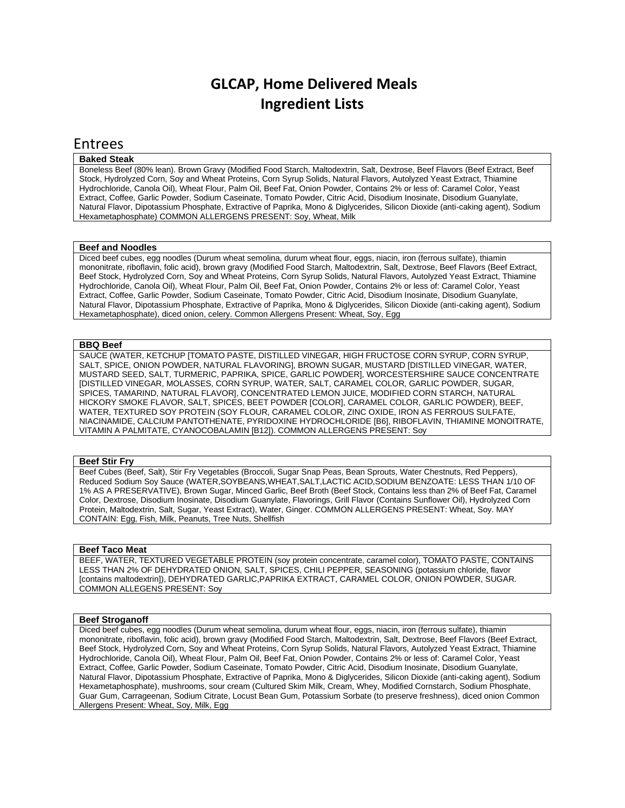# **GLCAP, Home Delivered Meals Ingredient Lists**

# Entrees

# **Baked Steak**

Boneless Beef (80% lean). Brown Gravy (Modified Food Starch, Maltodextrin, Salt, Dextrose, Beef Flavors (Beef Extract, Beef Stock, Hydrolyzed Corn, Soy and Wheat Proteins, Corn Syrup Solids, Natural Flavors, Autolyzed Yeast Extract, Thiamine Hydrochloride, Canola Oil), Wheat Flour, Palm Oil, Beef Fat, Onion Powder, Contains 2% or less of: Caramel Color, Yeast Extract, Coffee, Garlic Powder, Sodium Caseinate, Tomato Powder, Citric Acid, Disodium Inosinate, Disodium Guanylate, Natural Flavor, Dipotassium Phosphate, Extractive of Paprika, Mono & Diglycerides, Silicon Dioxide (anti-caking agent), Sodium Hexametaphosphate) COMMON ALLERGENS PRESENT: Soy, Wheat, Milk

# **Beef and Noodles**

Diced beef cubes, egg noodles (Durum wheat semolina, durum wheat flour, eggs, niacin, iron (ferrous sulfate), thiamin mononitrate, riboflavin, folic acid), brown gravy (Modified Food Starch, Maltodextrin, Salt, Dextrose, Beef Flavors (Beef Extract, Beef Stock, Hydrolyzed Corn, Soy and Wheat Proteins, Corn Syrup Solids, Natural Flavors, Autolyzed Yeast Extract, Thiamine Hydrochloride, Canola Oil), Wheat Flour, Palm Oil, Beef Fat, Onion Powder, Contains 2% or less of: Caramel Color, Yeast Extract, Coffee, Garlic Powder, Sodium Caseinate, Tomato Powder, Citric Acid, Disodium Inosinate, Disodium Guanylate, Natural Flavor, Dipotassium Phosphate, Extractive of Paprika, Mono & Diglycerides, Silicon Dioxide (anti-caking agent), Sodium Hexametaphosphate), diced onion, celery. Common Allergens Present: Wheat, Soy, Egg

# **BBQ Beef**

SAUCE (WATER, KETCHUP [TOMATO PASTE, DISTILLED VINEGAR, HIGH FRUCTOSE CORN SYRUP, CORN SYRUP, SALT, SPICE, ONION POWDER, NATURAL FLAVORING], BROWN SUGAR, MUSTARD [DISTILLED VINEGAR, WATER, MUSTARD SEED, SALT, TURMERIC, PAPRIKA, SPICE, GARLIC POWDER], WORCESTERSHIRE SAUCE CONCENTRATE [DISTILLED VINEGAR, MOLASSES, CORN SYRUP, WATER, SALT, CARAMEL COLOR, GARLIC POWDER, SUGAR, SPICES, TAMARIND, NATURAL FLAVOR], CONCENTRATED LEMON JUICE, MODIFIED CORN STARCH, NATURAL HICKORY SMOKE FLAVOR, SALT, SPICES, BEET POWDER [COLOR], CARAMEL COLOR, GARLIC POWDER), BEEF, WATER, TEXTURED SOY PROTEIN (SOY FLOUR, CARAMEL COLOR, ZINC OXIDE, IRON AS FERROUS SULFATE, NIACINAMIDE, CALCIUM PANTOTHENATE, PYRIDOXINE HYDROCHLORIDE [B6], RIBOFLAVIN, THIAMINE MONOITRATE, VITAMIN A PALMITATE, CYANOCOBALAMIN [B12]). COMMON ALLERGENS PRESENT: Soy

# **Beef Stir Fry**

Beef Cubes (Beef, Salt), Stir Fry Vegetables (Broccoli, Sugar Snap Peas, Bean Sprouts, Water Chestnuts, Red Peppers), Reduced Sodium Soy Sauce (WATER,SOYBEANS,WHEAT,SALT,LACTIC ACID,SODIUM BENZOATE: LESS THAN 1/10 OF 1% AS A PRESERVATIVE), Brown Sugar, Minced Garlic, Beef Broth (Beef Stock, Contains less than 2% of Beef Fat, Caramel Color, Dextrose, Disodium Inosinate, Disodium Guanylate, Flavorings, Grill Flavor (Contains Sunflower Oil), Hydrolyzed Corn Protein, Maltodextrin, Salt, Sugar, Yeast Extract), Water, Ginger. COMMON ALLERGENS PRESENT: Wheat, Soy. MAY CONTAIN: Egg, Fish, Milk, Peanuts, Tree Nuts, Shellfish

# **Beef Taco Meat**

BEEF, WATER, TEXTURED VEGETABLE PROTEIN (soy protein concentrate, caramel color), TOMATO PASTE, CONTAINS LESS THAN 2% OF DEHYDRATED ONION, SALT, SPICES, CHILI PEPPER, SEASONING (potassium chloride, flavor [contains maltodextrin]), DEHYDRATED GARLIC,PAPRIKA EXTRACT, CARAMEL COLOR, ONION POWDER, SUGAR. COMMON ALLEGENS PRESENT: Soy

# **Beef Stroganoff**

Diced beef cubes, egg noodles (Durum wheat semolina, durum wheat flour, eggs, niacin, iron (ferrous sulfate), thiamin mononitrate, riboflavin, folic acid), brown gravy (Modified Food Starch, Maltodextrin, Salt, Dextrose, Beef Flavors (Beef Extract, Beef Stock, Hydrolyzed Corn, Soy and Wheat Proteins, Corn Syrup Solids, Natural Flavors, Autolyzed Yeast Extract, Thiamine Hydrochloride, Canola Oil), Wheat Flour, Palm Oil, Beef Fat, Onion Powder, Contains 2% or less of: Caramel Color, Yeast Extract, Coffee, Garlic Powder, Sodium Caseinate, Tomato Powder, Citric Acid, Disodium Inosinate, Disodium Guanylate, Natural Flavor, Dipotassium Phosphate, Extractive of Paprika, Mono & Diglycerides, Silicon Dioxide (anti-caking agent), Sodium Hexametaphosphate), mushrooms, sour cream (Cultured Skim Milk, Cream, Whey, Modified Cornstarch, Sodium Phosphate, Guar Gum, Carrageenan, Sodium Citrate, Locust Bean Gum, Potassium Sorbate (to preserve freshness), diced onion Common Allergens Present: Wheat, Soy, Milk, Egg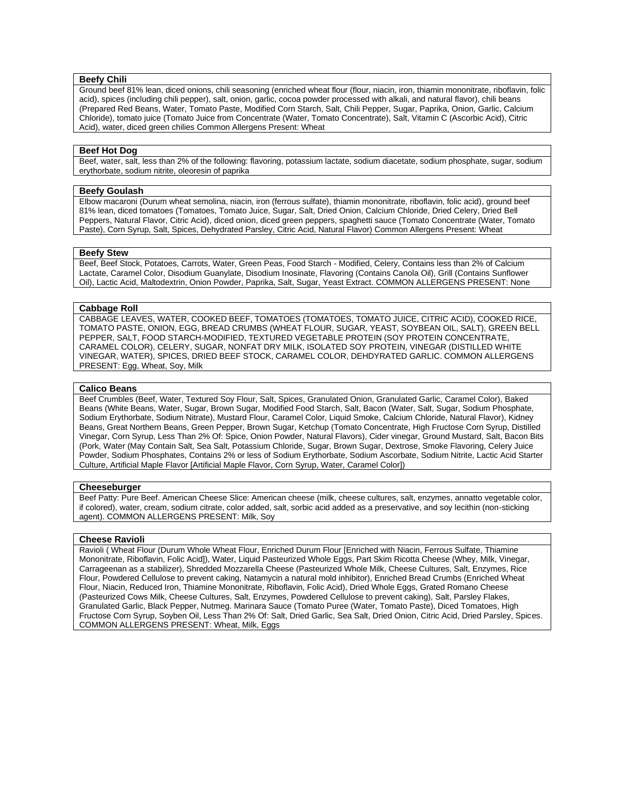# **Beefy Chili**

Ground beef 81% lean, diced onions, chili seasoning (enriched wheat flour (flour, niacin, iron, thiamin mononitrate, riboflavin, folic acid), spices (including chili pepper), salt, onion, garlic, cocoa powder processed with alkali, and natural flavor), chili beans (Prepared Red Beans, Water, Tomato Paste, Modified Corn Starch, Salt, Chili Pepper, Sugar, Paprika, Onion, Garlic, Calcium Chloride), tomato juice (Tomato Juice from Concentrate (Water, Tomato Concentrate), Salt, Vitamin C (Ascorbic Acid), Citric Acid), water, diced green chilies Common Allergens Present: Wheat

# **Beef Hot Dog**

Beef, water, salt, less than 2% of the following: flavoring, potassium lactate, sodium diacetate, sodium phosphate, sugar, sodium erythorbate, sodium nitrite, oleoresin of paprika

# **Beefy Goulash**

Elbow macaroni (Durum wheat semolina, niacin, iron (ferrous sulfate), thiamin mononitrate, riboflavin, folic acid), ground beef 81% lean, diced tomatoes (Tomatoes, Tomato Juice, Sugar, Salt, Dried Onion, Calcium Chloride, Dried Celery, Dried Bell Peppers, Natural Flavor, Citric Acid), diced onion, diced green peppers, spaghetti sauce (Tomato Concentrate (Water, Tomato Paste), Corn Syrup, Salt, Spices, Dehydrated Parsley, Citric Acid, Natural Flavor) Common Allergens Present: Wheat

#### **Beefy Stew**

Beef, Beef Stock, Potatoes, Carrots, Water, Green Peas, Food Starch - Modified, Celery, Contains less than 2% of Calcium Lactate, Caramel Color, Disodium Guanylate, Disodium Inosinate, Flavoring (Contains Canola Oil), Grill (Contains Sunflower Oil), Lactic Acid, Maltodextrin, Onion Powder, Paprika, Salt, Sugar, Yeast Extract. COMMON ALLERGENS PRESENT: None

#### **Cabbage Roll**

CABBAGE LEAVES, WATER, COOKED BEEF, TOMATOES (TOMATOES, TOMATO JUICE, CITRIC ACID), COOKED RICE, TOMATO PASTE, ONION, EGG, BREAD CRUMBS (WHEAT FLOUR, SUGAR, YEAST, SOYBEAN OIL, SALT), GREEN BELL PEPPER, SALT, FOOD STARCH-MODIFIED, TEXTURED VEGETABLE PROTEIN (SOY PROTEIN CONCENTRATE, CARAMEL COLOR), CELERY, SUGAR, NONFAT DRY MILK, ISOLATED SOY PROTEIN, VINEGAR (DISTILLED WHITE VINEGAR, WATER), SPICES, DRIED BEEF STOCK, CARAMEL COLOR, DEHDYRATED GARLIC. COMMON ALLERGENS PRESENT: Egg, Wheat, Soy, Milk

#### **Calico Beans**

Beef Crumbles (Beef, Water, Textured Soy Flour, Salt, Spices, Granulated Onion, Granulated Garlic, Caramel Color), Baked Beans (White Beans, Water, Sugar, Brown Sugar, Modified Food Starch, Salt, Bacon (Water, Salt, Sugar, Sodium Phosphate, Sodium Erythorbate, Sodium Nitrate), Mustard Flour, Caramel Color, Liquid Smoke, Calcium Chloride, Natural Flavor), Kidney Beans, Great Northern Beans, Green Pepper, Brown Sugar, Ketchup (Tomato Concentrate, High Fructose Corn Syrup, Distilled Vinegar, Corn Syrup, Less Than 2% Of: Spice, Onion Powder, Natural Flavors), Cider vinegar, Ground Mustard, Salt, Bacon Bits (Pork, Water (May Contain Salt, Sea Salt, Potassium Chloride, Sugar, Brown Sugar, Dextrose, Smoke Flavoring, Celery Juice Powder, Sodium Phosphates, Contains 2% or less of Sodium Erythorbate, Sodium Ascorbate, Sodium Nitrite, Lactic Acid Starter Culture, Artificial Maple Flavor [Artificial Maple Flavor, Corn Syrup, Water, Caramel Color])

# **Cheeseburger**

Beef Patty: Pure Beef. American Cheese Slice: American cheese (milk, cheese cultures, salt, enzymes, annatto vegetable color, if colored), water, cream, sodium citrate, color added, salt, sorbic acid added as a preservative, and soy lecithin (non-sticking agent). COMMON ALLERGENS PRESENT: Milk, Soy

# **Cheese Ravioli**

Ravioli ( Wheat Flour (Durum Whole Wheat Flour, Enriched Durum Flour [Enriched with Niacin, Ferrous Sulfate, Thiamine Mononitrate, Riboflavin, Folic Acid]), Water, Liquid Pasteurized Whole Eggs, Part Skim Ricotta Cheese (Whey, Milk, Vinegar, Carrageenan as a stabilizer), Shredded Mozzarella Cheese (Pasteurized Whole Milk, Cheese Cultures, Salt, Enzymes, Rice Flour, Powdered Cellulose to prevent caking, Natamycin a natural mold inhibitor), Enriched Bread Crumbs (Enriched Wheat Flour, Niacin, Reduced Iron, Thiamine Mononitrate, Riboflavin, Folic Acid), Dried Whole Eggs, Grated Romano Cheese (Pasteurized Cows Milk, Cheese Cultures, Salt, Enzymes, Powdered Cellulose to prevent caking), Salt, Parsley Flakes, Granulated Garlic, Black Pepper, Nutmeg. Marinara Sauce (Tomato Puree (Water, Tomato Paste), Diced Tomatoes, High Fructose Corn Syrup, Soyben Oil, Less Than 2% Of: Salt, Dried Garlic, Sea Salt, Dried Onion, Citric Acid, Dried Parsley, Spices. COMMON ALLERGENS PRESENT: Wheat, Milk, Eggs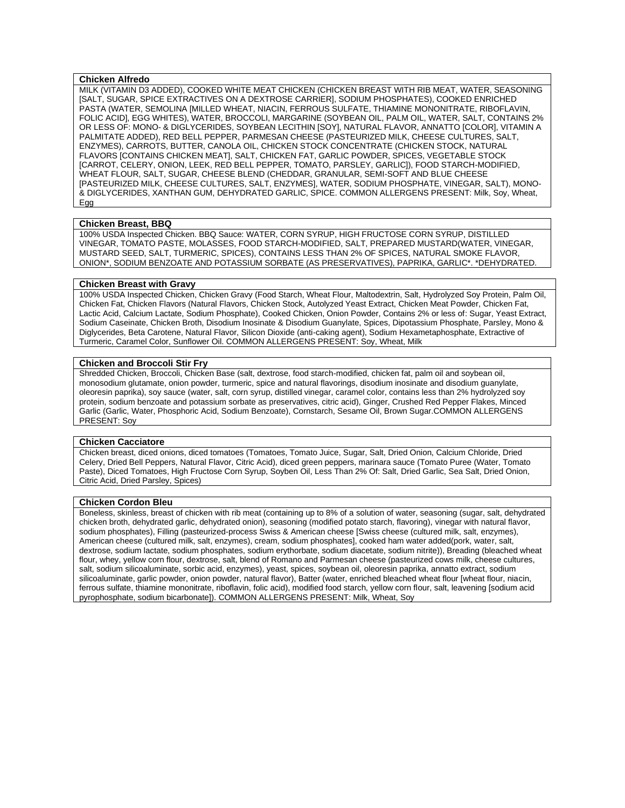# **Chicken Alfredo**

MILK (VITAMIN D3 ADDED), COOKED WHITE MEAT CHICKEN (CHICKEN BREAST WITH RIB MEAT, WATER, SEASONING [SALT, SUGAR, SPICE EXTRACTIVES ON A DEXTROSE CARRIER], SODIUM PHOSPHATES), COOKED ENRICHED PASTA (WATER, SEMOLINA [MILLED WHEAT, NIACIN, FERROUS SULFATE, THIAMINE MONONITRATE, RIBOFLAVIN, FOLIC ACID], EGG WHITES), WATER, BROCCOLI, MARGARINE (SOYBEAN OIL, PALM OIL, WATER, SALT, CONTAINS 2% OR LESS OF: MONO- & DIGLYCERIDES, SOYBEAN LECITHIN [SOY], NATURAL FLAVOR, ANNATTO [COLOR], VITAMIN A PALMITATE ADDED), RED BELL PEPPER, PARMESAN CHEESE (PASTEURIZED MILK, CHEESE CULTURES, SALT, ENZYMES), CARROTS, BUTTER, CANOLA OIL, CHICKEN STOCK CONCENTRATE (CHICKEN STOCK, NATURAL FLAVORS [CONTAINS CHICKEN MEAT], SALT, CHICKEN FAT, GARLIC POWDER, SPICES, VEGETABLE STOCK [CARROT, CELERY, ONION, LEEK, RED BELL PEPPER, TOMATO, PARSLEY, GARLIC]), FOOD STARCH-MODIFIED, WHEAT FLOUR, SALT, SUGAR, CHEESE BLEND (CHEDDAR, GRANULAR, SEMI-SOFT AND BLUE CHEESE [PASTEURIZED MILK, CHEESE CULTURES, SALT, ENZYMES], WATER, SODIUM PHOSPHATE, VINEGAR, SALT), MONO- & DIGLYCERIDES, XANTHAN GUM, DEHYDRATED GARLIC, SPICE. COMMON ALLERGENS PRESENT: Milk, Soy, Wheat, Egg

#### **Chicken Breast, BBQ**

100% USDA Inspected Chicken. BBQ Sauce: WATER, CORN SYRUP, HIGH FRUCTOSE CORN SYRUP, DISTILLED VINEGAR, TOMATO PASTE, MOLASSES, FOOD STARCH-MODIFIED, SALT, PREPARED MUSTARD(WATER, VINEGAR, MUSTARD SEED, SALT, TURMERIC, SPICES), CONTAINS LESS THAN 2% OF SPICES, NATURAL SMOKE FLAVOR, ONION\*, SODIUM BENZOATE AND POTASSIUM SORBATE (AS PRESERVATIVES), PAPRIKA, GARLIC\*. \*DEHYDRATED.

# **Chicken Breast with Gravy**

100% USDA Inspected Chicken, Chicken Gravy (Food Starch, Wheat Flour, Maltodextrin, Salt, Hydrolyzed Soy Protein, Palm Oil, Chicken Fat, Chicken Flavors (Natural Flavors, Chicken Stock, Autolyzed Yeast Extract, Chicken Meat Powder, Chicken Fat, Lactic Acid, Calcium Lactate, Sodium Phosphate), Cooked Chicken, Onion Powder, Contains 2% or less of: Sugar, Yeast Extract, Sodium Caseinate, Chicken Broth, Disodium Inosinate & Disodium Guanylate, Spices, Dipotassium Phosphate, Parsley, Mono & Diglycerides, Beta Carotene, Natural Flavor, Silicon Dioxide (anti-caking agent), Sodium Hexametaphosphate, Extractive of Turmeric, Caramel Color, Sunflower Oil. COMMON ALLERGENS PRESENT: Soy, Wheat, Milk

# **Chicken and Broccoli Stir Fry**

Shredded Chicken, Broccoli, Chicken Base (salt, dextrose, food starch-modified, chicken fat, palm oil and soybean oil, monosodium glutamate, onion powder, turmeric, spice and natural flavorings, disodium inosinate and disodium guanylate, oleoresin paprika), soy sauce (water, salt, corn syrup, distilled vinegar, caramel color, contains less than 2% hydrolyzed soy protein, sodium benzoate and potassium sorbate as preservatives, citric acid), Ginger, Crushed Red Pepper Flakes, Minced Garlic (Garlic, Water, Phosphoric Acid, Sodium Benzoate), Cornstarch, Sesame Oil, Brown Sugar.COMMON ALLERGENS PRESENT: Soy

#### **Chicken Cacciatore**

Chicken breast, diced onions, diced tomatoes (Tomatoes, Tomato Juice, Sugar, Salt, Dried Onion, Calcium Chloride, Dried Celery, Dried Bell Peppers, Natural Flavor, Citric Acid), diced green peppers, marinara sauce (Tomato Puree (Water, Tomato Paste), Diced Tomatoes, High Fructose Corn Syrup, Soyben Oil, Less Than 2% Of: Salt, Dried Garlic, Sea Salt, Dried Onion, Citric Acid, Dried Parsley, Spices)

#### **Chicken Cordon Bleu**

Boneless, skinless, breast of chicken with rib meat (containing up to 8% of a solution of water, seasoning (sugar, salt, dehydrated chicken broth, dehydrated garlic, dehydrated onion), seasoning (modified potato starch, flavoring), vinegar with natural flavor, sodium phosphates), Filling (pasteurized-process Swiss & American cheese [Swiss cheese (cultured milk, salt, enzymes), American cheese (cultured milk, salt, enzymes), cream, sodium phosphates], cooked ham water added(pork, water, salt, dextrose, sodium lactate, sodium phosphates, sodium erythorbate, sodium diacetate, sodium nitrite)), Breading (bleached wheat flour, whey, yellow corn flour, dextrose, salt, blend of Romano and Parmesan cheese (pasteurized cows milk, cheese cultures, salt, sodium silicoaluminate, sorbic acid, enzymes), yeast, spices, soybean oil, oleoresin paprika, annatto extract, sodium silicoaluminate, garlic powder, onion powder, natural flavor), Batter (water, enriched bleached wheat flour [wheat flour, niacin, ferrous sulfate, thiamine mononitrate, riboflavin, folic acid), modified food starch, yellow corn flour, salt, leavening [sodium acid pyrophosphate, sodium bicarbonate]). COMMON ALLERGENS PRESENT: Milk, Wheat, Soy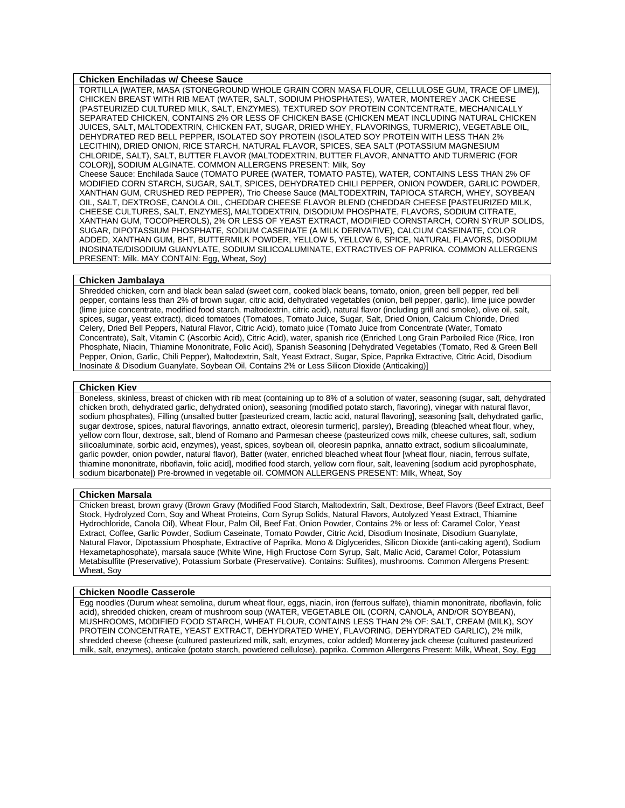# **Chicken Enchiladas w/ Cheese Sauce**

TORTILLA [WATER, MASA (STONEGROUND WHOLE GRAIN CORN MASA FLOUR, CELLULOSE GUM, TRACE OF LIME)], CHICKEN BREAST WITH RIB MEAT (WATER, SALT, SODIUM PHOSPHATES), WATER, MONTEREY JACK CHEESE (PASTEURIZED CULTURED MILK, SALT, ENZYMES), TEXTURED SOY PROTEIN CONTCENTRATE, MECHANICALLY SEPARATED CHICKEN, CONTAINS 2% OR LESS OF CHICKEN BASE (CHICKEN MEAT INCLUDING NATURAL CHICKEN JUICES, SALT, MALTODEXTRIN, CHICKEN FAT, SUGAR, DRIED WHEY, FLAVORINGS, TURMERIC), VEGETABLE OIL, DEHYDRATED RED BELL PEPPER, ISOLATED SOY PROTEIN (ISOLATED SOY PROTEIN WITH LESS THAN 2% LECITHIN), DRIED ONION, RICE STARCH, NATURAL FLAVOR, SPICES, SEA SALT (POTASSIUM MAGNESIUM CHLORIDE, SALT), SALT, BUTTER FLAVOR (MALTODEXTRIN, BUTTER FLAVOR, ANNATTO AND TURMERIC (FOR COLOR)], SODIUM ALGINATE. COMMON ALLERGENS PRESENT: Milk, Soy

Cheese Sauce: Enchilada Sauce (TOMATO PUREE (WATER, TOMATO PASTE), WATER, CONTAINS LESS THAN 2% OF MODIFIED CORN STARCH, SUGAR, SALT, SPICES, DEHYDRATED CHILI PEPPER, ONION POWDER, GARLIC POWDER, XANTHAN GUM, CRUSHED RED PEPPER), Trio Cheese Sauce (MALTODEXTRIN, TAPIOCA STARCH, WHEY, SOYBEAN OIL, SALT, DEXTROSE, CANOLA OIL, CHEDDAR CHEESE FLAVOR BLEND (CHEDDAR CHEESE [PASTEURIZED MILK, CHEESE CULTURES, SALT, ENZYMES], MALTODEXTRIN, DISODIUM PHOSPHATE, FLAVORS, SODIUM CITRATE, XANTHAN GUM, TOCOPHEROLS), 2% OR LESS OF YEAST EXTRACT, MODIFIED CORNSTARCH, CORN SYRUP SOLIDS, SUGAR, DIPOTASSIUM PHOSPHATE, SODIUM CASEINATE (A MILK DERIVATIVE), CALCIUM CASEINATE, COLOR ADDED, XANTHAN GUM, BHT, BUTTERMILK POWDER, YELLOW 5, YELLOW 6, SPICE, NATURAL FLAVORS, DISODIUM INOSINATE/DISODIUM GUANYLATE, SODIUM SILICOALUMINATE, EXTRACTIVES OF PAPRIKA. COMMON ALLERGENS PRESENT: Milk. MAY CONTAIN: Egg, Wheat, Soy)

# **Chicken Jambalaya**

Shredded chicken, corn and black bean salad (sweet corn, cooked black beans, tomato, onion, green bell pepper, red bell pepper, contains less than 2% of brown sugar, citric acid, dehydrated vegetables (onion, bell pepper, garlic), lime juice powder (lime juice concentrate, modified food starch, maltodextrin, citric acid), natural flavor (including grill and smoke), olive oil, salt, spices, sugar, yeast extract), diced tomatoes (Tomatoes, Tomato Juice, Sugar, Salt, Dried Onion, Calcium Chloride, Dried Celery, Dried Bell Peppers, Natural Flavor, Citric Acid), tomato juice (Tomato Juice from Concentrate (Water, Tomato Concentrate), Salt, Vitamin C (Ascorbic Acid), Citric Acid), water, spanish rice (Enriched Long Grain Parboiled Rice (Rice, Iron Phosphate, Niacin, Thiamine Mononitrate, Folic Acid), Spanish Seasoning [Dehydrated Vegetables (Tomato, Red & Green Bell Pepper, Onion, Garlic, Chili Pepper), Maltodextrin, Salt, Yeast Extract, Sugar, Spice, Paprika Extractive, Citric Acid, Disodium Inosinate & Disodium Guanylate, Soybean Oil, Contains 2% or Less Silicon Dioxide (Anticaking)]

## **Chicken Kiev**

Boneless, skinless, breast of chicken with rib meat (containing up to 8% of a solution of water, seasoning (sugar, salt, dehydrated chicken broth, dehydrated garlic, dehydrated onion), seasoning (modified potato starch, flavoring), vinegar with natural flavor, sodium phosphates), Filling (unsalted butter [pasteurized cream, lactic acid, natural flavoring], seasoning [salt, dehydrated garlic, sugar dextrose, spices, natural flavorings, annatto extract, oleoresin turmeric], parsley), Breading (bleached wheat flour, whey, yellow corn flour, dextrose, salt, blend of Romano and Parmesan cheese (pasteurized cows milk, cheese cultures, salt, sodium silicoaluminate, sorbic acid, enzymes), yeast, spices, soybean oil, oleoresin paprika, annatto extract, sodium silicoaluminate, garlic powder, onion powder, natural flavor), Batter (water, enriched bleached wheat flour [wheat flour, niacin, ferrous sulfate, thiamine mononitrate, riboflavin, folic acid], modified food starch, yellow corn flour, salt, leavening [sodium acid pyrophosphate, sodium bicarbonate]) Pre-browned in vegetable oil. COMMON ALLERGENS PRESENT: Milk, Wheat, Soy

#### **Chicken Marsala**

Chicken breast, brown gravy (Brown Gravy (Modified Food Starch, Maltodextrin, Salt, Dextrose, Beef Flavors (Beef Extract, Beef Stock, Hydrolyzed Corn, Soy and Wheat Proteins, Corn Syrup Solids, Natural Flavors, Autolyzed Yeast Extract, Thiamine Hydrochloride, Canola Oil), Wheat Flour, Palm Oil, Beef Fat, Onion Powder, Contains 2% or less of: Caramel Color, Yeast Extract, Coffee, Garlic Powder, Sodium Caseinate, Tomato Powder, Citric Acid, Disodium Inosinate, Disodium Guanylate, Natural Flavor, Dipotassium Phosphate, Extractive of Paprika, Mono & Diglycerides, Silicon Dioxide (anti-caking agent), Sodium Hexametaphosphate), marsala sauce (White Wine, High Fructose Corn Syrup, Salt, Malic Acid, Caramel Color, Potassium Metabisulfite (Preservative), Potassium Sorbate (Preservative). Contains: Sulfites), mushrooms. Common Allergens Present: Wheat, Soy

#### **Chicken Noodle Casserole**

Egg noodles (Durum wheat semolina, durum wheat flour, eggs, niacin, iron (ferrous sulfate), thiamin mononitrate, riboflavin, folic acid), shredded chicken, cream of mushroom soup (WATER, VEGETABLE OIL (CORN, CANOLA, AND/OR SOYBEAN), MUSHROOMS, MODIFIED FOOD STARCH, WHEAT FLOUR, CONTAINS LESS THAN 2% OF: SALT, CREAM (MILK), SOY PROTEIN CONCENTRATE, YEAST EXTRACT, DEHYDRATED WHEY, FLAVORING, DEHYDRATED GARLIC), 2% milk, shredded cheese (cheese (cultured pasteurized milk, salt, enzymes, color added) Monterey jack cheese (cultured pasteurized milk, salt, enzymes), anticake (potato starch, powdered cellulose), paprika. Common Allergens Present: Milk, Wheat, Soy, Egg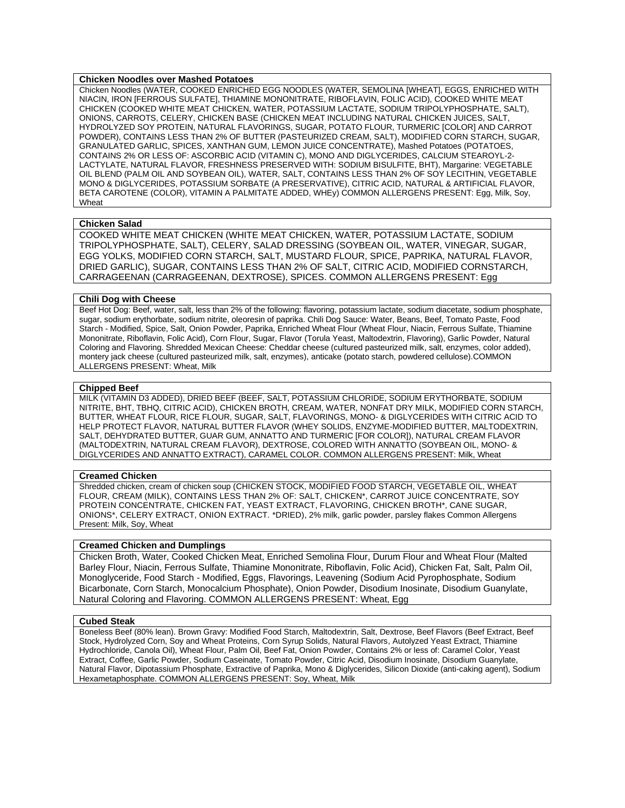# **Chicken Noodles over Mashed Potatoes**

Chicken Noodles (WATER, COOKED ENRICHED EGG NOODLES (WATER, SEMOLINA [WHEAT], EGGS, ENRICHED WITH NIACIN, IRON [FERROUS SULFATE], THIAMINE MONONITRATE, RIBOFLAVIN, FOLIC ACID), COOKED WHITE MEAT CHICKEN (COOKED WHITE MEAT CHICKEN, WATER, POTASSIUM LACTATE, SODIUM TRIPOLYPHOSPHATE, SALT), ONIONS, CARROTS, CELERY, CHICKEN BASE (CHICKEN MEAT INCLUDING NATURAL CHICKEN JUICES, SALT, HYDROLYZED SOY PROTEIN, NATURAL FLAVORINGS, SUGAR, POTATO FLOUR, TURMERIC [COLOR] AND CARROT POWDER), CONTAINS LESS THAN 2% OF BUTTER (PASTEURIZED CREAM, SALT), MODIFIED CORN STARCH, SUGAR, GRANULATED GARLIC, SPICES, XANTHAN GUM, LEMON JUICE CONCENTRATE), Mashed Potatoes (POTATOES, CONTAINS 2% OR LESS OF: ASCORBIC ACID (VITAMIN C), MONO AND DIGLYCERIDES, CALCIUM STEAROYL-2- LACTYLATE, NATURAL FLAVOR, FRESHNESS PRESERVED WITH: SODIUM BISULFITE, BHT), Margarine: VEGETABLE OIL BLEND (PALM OIL AND SOYBEAN OIL), WATER, SALT, CONTAINS LESS THAN 2% OF SOY LECITHIN, VEGETABLE MONO & DIGLYCERIDES, POTASSIUM SORBATE (A PRESERVATIVE), CITRIC ACID, NATURAL & ARTIFICIAL FLAVOR, BETA CAROTENE (COLOR), VITAMIN A PALMITATE ADDED, WHEy) COMMON ALLERGENS PRESENT: Egg, Milk, Soy, Wheat

# **Chicken Salad**

COOKED WHITE MEAT CHICKEN (WHITE MEAT CHICKEN, WATER, POTASSIUM LACTATE, SODIUM TRIPOLYPHOSPHATE, SALT), CELERY, SALAD DRESSING (SOYBEAN OIL, WATER, VINEGAR, SUGAR, EGG YOLKS, MODIFIED CORN STARCH, SALT, MUSTARD FLOUR, SPICE, PAPRIKA, NATURAL FLAVOR, DRIED GARLIC), SUGAR, CONTAINS LESS THAN 2% OF SALT, CITRIC ACID, MODIFIED CORNSTARCH, CARRAGEENAN (CARRAGEENAN, DEXTROSE), SPICES. COMMON ALLERGENS PRESENT: Egg

#### **Chili Dog with Cheese**

Beef Hot Dog: Beef, water, salt, less than 2% of the following: flavoring, potassium lactate, sodium diacetate, sodium phosphate, sugar, sodium erythorbate, sodium nitrite, oleoresin of paprika. Chili Dog Sauce: Water, Beans, Beef, Tomato Paste, Food Starch - Modified, Spice, Salt, Onion Powder, Paprika, Enriched Wheat Flour (Wheat Flour, Niacin, Ferrous Sulfate, Thiamine Mononitrate, Riboflavin, Folic Acid), Corn Flour, Sugar, Flavor (Torula Yeast, Maltodextrin, Flavoring), Garlic Powder, Natural Coloring and Flavoring. Shredded Mexican Cheese: Cheddar cheese (cultured pasteurized milk, salt, enzymes, color added), montery jack cheese (cultured pasteurized milk, salt, enzymes), anticake (potato starch, powdered cellulose).COMMON ALLERGENS PRESENT: Wheat, Milk

# **Chipped Beef**

MILK (VITAMIN D3 ADDED), DRIED BEEF (BEEF, SALT, POTASSIUM CHLORIDE, SODIUM ERYTHORBATE, SODIUM NITRITE, BHT, TBHQ, CITRIC ACID), CHICKEN BROTH, CREAM, WATER, NONFAT DRY MILK, MODIFIED CORN STARCH, BUTTER, WHEAT FLOUR, RICE FLOUR, SUGAR, SALT, FLAVORINGS, MONO- & DIGLYCERIDES WITH CITRIC ACID TO HELP PROTECT FLAVOR, NATURAL BUTTER FLAVOR (WHEY SOLIDS, ENZYME-MODIFIED BUTTER, MALTODEXTRIN, SALT, DEHYDRATED BUTTER, GUAR GUM, ANNATTO AND TURMERIC [FOR COLOR]), NATURAL CREAM FLAVOR (MALTODEXTRIN, NATURAL CREAM FLAVOR), DEXTROSE, COLORED WITH ANNATTO (SOYBEAN OIL, MONO- & DIGLYCERIDES AND ANNATTO EXTRACT), CARAMEL COLOR. COMMON ALLERGENS PRESENT: Milk, Wheat

#### **Creamed Chicken**

Shredded chicken, cream of chicken soup (CHICKEN STOCK, MODIFIED FOOD STARCH, VEGETABLE OIL, WHEAT FLOUR, CREAM (MILK), CONTAINS LESS THAN 2% OF: SALT, CHICKEN\*, CARROT JUICE CONCENTRATE, SOY PROTEIN CONCENTRATE, CHICKEN FAT, YEAST EXTRACT, FLAVORING, CHICKEN BROTH\*, CANE SUGAR, ONIONS\*, CELERY EXTRACT, ONION EXTRACT. \*DRIED), 2% milk, garlic powder, parsley flakes Common Allergens Present: Milk, Soy, Wheat

# **Creamed Chicken and Dumplings**

Chicken Broth, Water, Cooked Chicken Meat, Enriched Semolina Flour, Durum Flour and Wheat Flour (Malted Barley Flour, Niacin, Ferrous Sulfate, Thiamine Mononitrate, Riboflavin, Folic Acid), Chicken Fat, Salt, Palm Oil, Monoglyceride, Food Starch - Modified, Eggs, Flavorings, Leavening (Sodium Acid Pyrophosphate, Sodium Bicarbonate, Corn Starch, Monocalcium Phosphate), Onion Powder, Disodium Inosinate, Disodium Guanylate, Natural Coloring and Flavoring. COMMON ALLERGENS PRESENT: Wheat, Egg

#### **Cubed Steak**

Boneless Beef (80% lean). Brown Gravy: Modified Food Starch, Maltodextrin, Salt, Dextrose, Beef Flavors (Beef Extract, Beef Stock, Hydrolyzed Corn, Soy and Wheat Proteins, Corn Syrup Solids, Natural Flavors, Autolyzed Yeast Extract, Thiamine Hydrochloride, Canola Oil), Wheat Flour, Palm Oil, Beef Fat, Onion Powder, Contains 2% or less of: Caramel Color, Yeast Extract, Coffee, Garlic Powder, Sodium Caseinate, Tomato Powder, Citric Acid, Disodium Inosinate, Disodium Guanylate, Natural Flavor, Dipotassium Phosphate, Extractive of Paprika, Mono & Diglycerides, Silicon Dioxide (anti-caking agent), Sodium Hexametaphosphate. COMMON ALLERGENS PRESENT: Soy, Wheat, Milk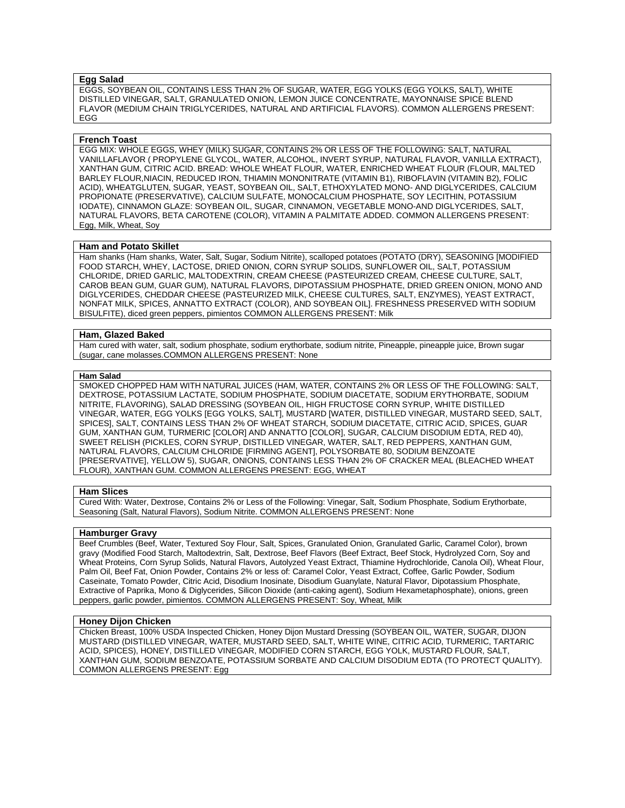# **Egg Salad**

EGGS, SOYBEAN OIL, CONTAINS LESS THAN 2% OF SUGAR, WATER, EGG YOLKS (EGG YOLKS, SALT), WHITE DISTILLED VINEGAR, SALT, GRANULATED ONION, LEMON JUICE CONCENTRATE, MAYONNAISE SPICE BLEND FLAVOR (MEDIUM CHAIN TRIGLYCERIDES, NATURAL AND ARTIFICIAL FLAVORS). COMMON ALLERGENS PRESENT: EGG

#### **French Toast**

EGG MIX: WHOLE EGGS, WHEY (MILK) SUGAR, CONTAINS 2% OR LESS OF THE FOLLOWING: SALT, NATURAL VANILLAFLAVOR ( PROPYLENE GLYCOL, WATER, ALCOHOL, INVERT SYRUP, NATURAL FLAVOR, VANILLA EXTRACT), XANTHAN GUM, CITRIC ACID. BREAD: WHOLE WHEAT FLOUR, WATER, ENRICHED WHEAT FLOUR (FLOUR, MALTED BARLEY FLOUR,NIACIN, REDUCED IRON, THIAMIN MONONITRATE (VITAMIN B1), RIBOFLAVIN (VITAMIN B2), FOLIC ACID), WHEATGLUTEN, SUGAR, YEAST, SOYBEAN OIL, SALT, ETHOXYLATED MONO- AND DIGLYCERIDES, CALCIUM PROPIONATE (PRESERVATIVE), CALCIUM SULFATE, MONOCALCIUM PHOSPHATE, SOY LECITHIN, POTASSIUM IODATE), CINNAMON GLAZE: SOYBEAN OIL, SUGAR, CINNAMON, VEGETABLE MONO-AND DIGLYCERIDES, SALT, NATURAL FLAVORS, BETA CAROTENE (COLOR), VITAMIN A PALMITATE ADDED. COMMON ALLERGENS PRESENT: Egg, Milk, Wheat, Soy

# **Ham and Potato Skillet**

Ham shanks (Ham shanks, Water, Salt, Sugar, Sodium Nitrite), scalloped potatoes (POTATO (DRY), SEASONING [MODIFIED FOOD STARCH, WHEY, LACTOSE, DRIED ONION, CORN SYRUP SOLIDS, SUNFLOWER OIL, SALT, POTASSIUM CHLORIDE, DRIED GARLIC, MALTODEXTRIN, CREAM CHEESE (PASTEURIZED CREAM, CHEESE CULTURE, SALT, CAROB BEAN GUM, GUAR GUM), NATURAL FLAVORS, DIPOTASSIUM PHOSPHATE, DRIED GREEN ONION, MONO AND DIGLYCERIDES, CHEDDAR CHEESE (PASTEURIZED MILK, CHEESE CULTURES, SALT, ENZYMES), YEAST EXTRACT, NONFAT MILK, SPICES, ANNATTO EXTRACT (COLOR), AND SOYBEAN OIL]. FRESHNESS PRESERVED WITH SODIUM BISULFITE), diced green peppers, pimientos COMMON ALLERGENS PRESENT: Milk

#### **Ham, Glazed Baked**

Ham cured with water, salt, sodium phosphate, sodium erythorbate, sodium nitrite, Pineapple, pineapple juice, Brown sugar (sugar, cane molasses.COMMON ALLERGENS PRESENT: None

#### **Ham Salad**

SMOKED CHOPPED HAM WITH NATURAL JUICES (HAM, WATER, CONTAINS 2% OR LESS OF THE FOLLOWING: SALT, DEXTROSE, POTASSIUM LACTATE, SODIUM PHOSPHATE, SODIUM DIACETATE, SODIUM ERYTHORBATE, SODIUM NITRITE, FLAVORING), SALAD DRESSING (SOYBEAN OIL, HIGH FRUCTOSE CORN SYRUP, WHITE DISTILLED VINEGAR, WATER, EGG YOLKS [EGG YOLKS, SALT], MUSTARD [WATER, DISTILLED VINEGAR, MUSTARD SEED, SALT, SPICES], SALT, CONTAINS LESS THAN 2% OF WHEAT STARCH, SODIUM DIACETATE, CITRIC ACID, SPICES, GUAR GUM, XANTHAN GUM, TURMERIC [COLOR] AND ANNATTO [COLOR], SUGAR, CALCIUM DISODIUM EDTA, RED 40), SWEET RELISH (PICKLES, CORN SYRUP, DISTILLED VINEGAR, WATER, SALT, RED PEPPERS, XANTHAN GUM, NATURAL FLAVORS, CALCIUM CHLORIDE [FIRMING AGENT], POLYSORBATE 80, SODIUM BENZOATE [PRESERVATIVE], YELLOW 5), SUGAR, ONIONS, CONTAINS LESS THAN 2% OF CRACKER MEAL (BLEACHED WHEAT FLOUR), XANTHAN GUM. COMMON ALLERGENS PRESENT: EGG, WHEAT

#### **Ham Slices**

Cured With: Water, Dextrose, Contains 2% or Less of the Following: Vinegar, Salt, Sodium Phosphate, Sodium Erythorbate, Seasoning (Salt, Natural Flavors), Sodium Nitrite. COMMON ALLERGENS PRESENT: None

# **Hamburger Gravy**

Beef Crumbles (Beef, Water, Textured Soy Flour, Salt, Spices, Granulated Onion, Granulated Garlic, Caramel Color), brown gravy (Modified Food Starch, Maltodextrin, Salt, Dextrose, Beef Flavors (Beef Extract, Beef Stock, Hydrolyzed Corn, Soy and Wheat Proteins, Corn Syrup Solids, Natural Flavors, Autolyzed Yeast Extract, Thiamine Hydrochloride, Canola Oil), Wheat Flour, Palm Oil, Beef Fat, Onion Powder, Contains 2% or less of: Caramel Color, Yeast Extract, Coffee, Garlic Powder, Sodium Caseinate, Tomato Powder, Citric Acid, Disodium Inosinate, Disodium Guanylate, Natural Flavor, Dipotassium Phosphate, Extractive of Paprika, Mono & Diglycerides, Silicon Dioxide (anti-caking agent), Sodium Hexametaphosphate), onions, green peppers, garlic powder, pimientos. COMMON ALLERGENS PRESENT: Soy, Wheat, Milk

## **Honey Dijon Chicken**

Chicken Breast, 100% USDA Inspected Chicken, Honey Dijon Mustard Dressing (SOYBEAN OIL, WATER, SUGAR, DIJON MUSTARD (DISTILLED VINEGAR, WATER, MUSTARD SEED, SALT, WHITE WINE, CITRIC ACID, TURMERIC, TARTARIC ACID, SPICES), HONEY, DISTILLED VINEGAR, MODIFIED CORN STARCH, EGG YOLK, MUSTARD FLOUR, SALT, XANTHAN GUM, SODIUM BENZOATE, POTASSIUM SORBATE AND CALCIUM DISODIUM EDTA (TO PROTECT QUALITY). COMMON ALLERGENS PRESENT: Egg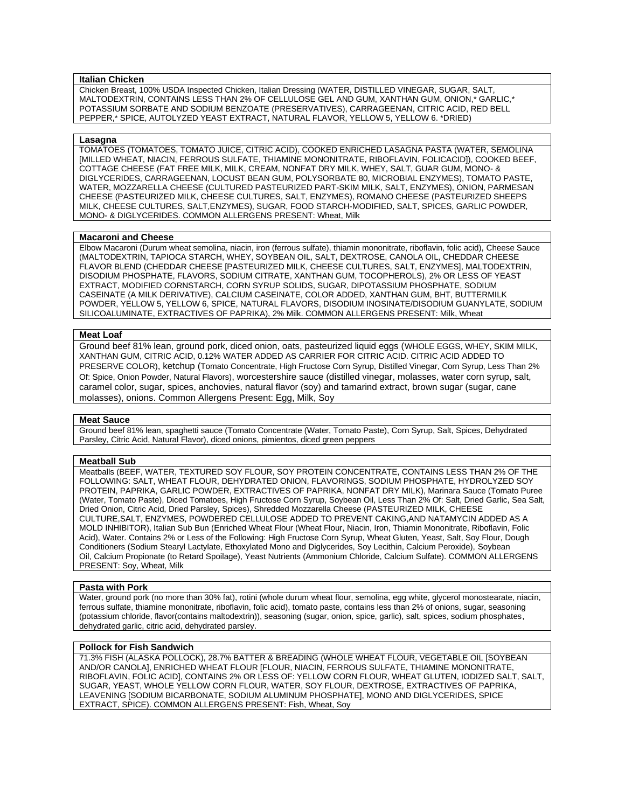# **Italian Chicken**

Chicken Breast, 100% USDA Inspected Chicken, Italian Dressing (WATER, DISTILLED VINEGAR, SUGAR, SALT, MALTODEXTRIN, CONTAINS LESS THAN 2% OF CELLULOSE GEL AND GUM, XANTHAN GUM, ONION,\* GARLIC,\* POTASSIUM SORBATE AND SODIUM BENZOATE (PRESERVATIVES), CARRAGEENAN, CITRIC ACID, RED BELL PEPPER,\* SPICE, AUTOLYZED YEAST EXTRACT, NATURAL FLAVOR, YELLOW 5, YELLOW 6. \*DRIED)

#### **Lasagna**

TOMATOES (TOMATOES, TOMATO JUICE, CITRIC ACID), COOKED ENRICHED LASAGNA PASTA (WATER, SEMOLINA [MILLED WHEAT, NIACIN, FERROUS SULFATE, THIAMINE MONONITRATE, RIBOFLAVIN, FOLICACID]), COOKED BEEF, COTTAGE CHEESE (FAT FREE MILK, MILK, CREAM, NONFAT DRY MILK, WHEY, SALT, GUAR GUM, MONO- & DIGLYCERIDES, CARRAGEENAN, LOCUST BEAN GUM, POLYSORBATE 80, MICROBIAL ENZYMES), TOMATO PASTE, WATER, MOZZARELLA CHEESE (CULTURED PASTEURIZED PART-SKIM MILK, SALT, ENZYMES), ONION, PARMESAN CHEESE (PASTEURIZED MILK, CHEESE CULTURES, SALT, ENZYMES), ROMANO CHEESE (PASTEURIZED SHEEPS MILK, CHEESE CULTURES, SALT,ENZYMES), SUGAR, FOOD STARCH-MODIFIED, SALT, SPICES, GARLIC POWDER, MONO- & DIGLYCERIDES. COMMON ALLERGENS PRESENT: Wheat, Milk

# **Macaroni and Cheese**

Elbow Macaroni (Durum wheat semolina, niacin, iron (ferrous sulfate), thiamin mononitrate, riboflavin, folic acid), Cheese Sauce (MALTODEXTRIN, TAPIOCA STARCH, WHEY, SOYBEAN OIL, SALT, DEXTROSE, CANOLA OIL, CHEDDAR CHEESE FLAVOR BLEND (CHEDDAR CHEESE [PASTEURIZED MILK, CHEESE CULTURES, SALT, ENZYMES], MALTODEXTRIN, DISODIUM PHOSPHATE, FLAVORS, SODIUM CITRATE, XANTHAN GUM, TOCOPHEROLS), 2% OR LESS OF YEAST EXTRACT, MODIFIED CORNSTARCH, CORN SYRUP SOLIDS, SUGAR, DIPOTASSIUM PHOSPHATE, SODIUM CASEINATE (A MILK DERIVATIVE), CALCIUM CASEINATE, COLOR ADDED, XANTHAN GUM, BHT, BUTTERMILK POWDER, YELLOW 5, YELLOW 6, SPICE, NATURAL FLAVORS, DISODIUM INOSINATE/DISODIUM GUANYLATE, SODIUM SILICOALUMINATE, EXTRACTIVES OF PAPRIKA), 2% Milk. COMMON ALLERGENS PRESENT: Milk, Wheat

#### **Meat Loaf**

Ground beef 81% lean, ground pork, diced onion, oats, pasteurized liquid eggs (WHOLE EGGS, WHEY, SKIM MILK, XANTHAN GUM, CITRIC ACID, 0.12% WATER ADDED AS CARRIER FOR CITRIC ACID. CITRIC ACID ADDED TO PRESERVE COLOR), ketchup (Tomato Concentrate, High Fructose Corn Syrup, Distilled Vinegar, Corn Syrup, Less Than 2% Of: Spice, Onion Powder, Natural Flavors), worcestershire sauce (distilled vinegar, molasses, water corn syrup, salt, caramel color, sugar, spices, anchovies, natural flavor (soy) and tamarind extract, brown sugar (sugar, cane molasses), onions. Common Allergens Present: Egg, Milk, Soy

#### **Meat Sauce**

Ground beef 81% lean, spaghetti sauce (Tomato Concentrate (Water, Tomato Paste), Corn Syrup, Salt, Spices, Dehydrated Parsley, Citric Acid, Natural Flavor), diced onions, pimientos, diced green peppers

#### **Meatball Sub**

Meatballs (BEEF, WATER, TEXTURED SOY FLOUR, SOY PROTEIN CONCENTRATE, CONTAINS LESS THAN 2% OF THE FOLLOWING: SALT, WHEAT FLOUR, DEHYDRATED ONION, FLAVORINGS, SODIUM PHOSPHATE, HYDROLYZED SOY PROTEIN, PAPRIKA, GARLIC POWDER, EXTRACTIVES OF PAPRIKA, NONFAT DRY MILK), Marinara Sauce (Tomato Puree (Water, Tomato Paste), Diced Tomatoes, High Fructose Corn Syrup, Soybean Oil, Less Than 2% Of: Salt, Dried Garlic, Sea Salt, Dried Onion, Citric Acid, Dried Parsley, Spices), Shredded Mozzarella Cheese (PASTEURIZED MILK, CHEESE CULTURE,SALT, ENZYMES, POWDERED CELLULOSE ADDED TO PREVENT CAKING,AND NATAMYCIN ADDED AS A MOLD INHIBITOR), Italian Sub Bun (Enriched Wheat Flour (Wheat Flour, Niacin, Iron, Thiamin Mononitrate, Riboflavin, Folic Acid), Water. Contains 2% or Less of the Following: High Fructose Corn Syrup, Wheat Gluten, Yeast, Salt, Soy Flour, Dough Conditioners (Sodium Stearyl Lactylate, Ethoxylated Mono and Diglycerides, Soy Lecithin, Calcium Peroxide), Soybean Oil, Calcium Propionate (to Retard Spoilage), Yeast Nutrients (Ammonium Chloride, Calcium Sulfate). COMMON ALLERGENS PRESENT: Soy, Wheat, Milk

# **Pasta with Pork**

Water, ground pork (no more than 30% fat), rotini (whole durum wheat flour, semolina, egg white, glycerol monostearate, niacin, ferrous sulfate, thiamine mononitrate, riboflavin, folic acid), tomato paste, contains less than 2% of onions, sugar, seasoning (potassium chloride, flavor(contains maltodextrin)), seasoning (sugar, onion, spice, garlic), salt, spices, sodium phosphates, dehydrated garlic, citric acid, dehydrated parsley.

## **Pollock for Fish Sandwich**

71.3% FISH (ALASKA POLLOCK), 28.7% BATTER & BREADING (WHOLE WHEAT FLOUR, VEGETABLE OIL [SOYBEAN AND/OR CANOLA], ENRICHED WHEAT FLOUR [FLOUR, NIACIN, FERROUS SULFATE, THIAMINE MONONITRATE, RIBOFLAVIN, FOLIC ACID], CONTAINS 2% OR LESS OF: YELLOW CORN FLOUR, WHEAT GLUTEN, IODIZED SALT, SALT, SUGAR, YEAST, WHOLE YELLOW CORN FLOUR, WATER, SOY FLOUR, DEXTROSE, EXTRACTIVES OF PAPRIKA, LEAVENING [SODIUM BICARBONATE, SODIUM ALUMINUM PHOSPHATE], MONO AND DIGLYCERIDES, SPICE EXTRACT, SPICE). COMMON ALLERGENS PRESENT: Fish, Wheat, Soy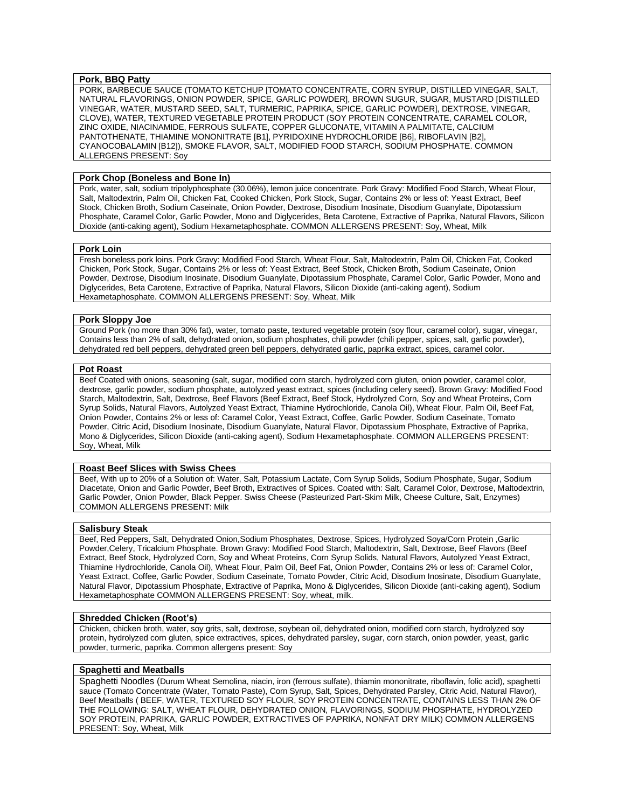# **Pork, BBQ Patty**

PORK, BARBECUE SAUCE (TOMATO KETCHUP [TOMATO CONCENTRATE, CORN SYRUP, DISTILLED VINEGAR, SALT, NATURAL FLAVORINGS, ONION POWDER, SPICE, GARLIC POWDER], BROWN SUGUR, SUGAR, MUSTARD [DISTILLED VINEGAR, WATER, MUSTARD SEED, SALT, TURMERIC, PAPRIKA, SPICE, GARLIC POWDER], DEXTROSE, VINEGAR, CLOVE), WATER, TEXTURED VEGETABLE PROTEIN PRODUCT (SOY PROTEIN CONCENTRATE, CARAMEL COLOR, ZINC OXIDE, NIACINAMIDE, FERROUS SULFATE, COPPER GLUCONATE, VITAMIN A PALMITATE, CALCIUM PANTOTHENATE, THIAMINE MONONITRATE [B1], PYRIDOXINE HYDROCHLORIDE [B6], RIBOFLAVIN [B2], CYANOCOBALAMIN [B12]), SMOKE FLAVOR, SALT, MODIFIED FOOD STARCH, SODIUM PHOSPHATE. COMMON ALLERGENS PRESENT: Soy

# **Pork Chop (Boneless and Bone In)**

Pork, water, salt, sodium tripolyphosphate (30.06%), lemon juice concentrate. Pork Gravy: Modified Food Starch, Wheat Flour, Salt, Maltodextrin, Palm Oil, Chicken Fat, Cooked Chicken, Pork Stock, Sugar, Contains 2% or less of: Yeast Extract, Beef Stock, Chicken Broth, Sodium Caseinate, Onion Powder, Dextrose, Disodium Inosinate, Disodium Guanylate, Dipotassium Phosphate, Caramel Color, Garlic Powder, Mono and Diglycerides, Beta Carotene, Extractive of Paprika, Natural Flavors, Silicon Dioxide (anti-caking agent), Sodium Hexametaphosphate. COMMON ALLERGENS PRESENT: Soy, Wheat, Milk

#### **Pork Loin**

Fresh boneless pork loins. Pork Gravy: Modified Food Starch, Wheat Flour, Salt, Maltodextrin, Palm Oil, Chicken Fat, Cooked Chicken, Pork Stock, Sugar, Contains 2% or less of: Yeast Extract, Beef Stock, Chicken Broth, Sodium Caseinate, Onion Powder, Dextrose, Disodium Inosinate, Disodium Guanylate, Dipotassium Phosphate, Caramel Color, Garlic Powder, Mono and Diglycerides, Beta Carotene, Extractive of Paprika, Natural Flavors, Silicon Dioxide (anti-caking agent), Sodium Hexametaphosphate. COMMON ALLERGENS PRESENT: Soy, Wheat, Milk

# **Pork Sloppy Joe**

Ground Pork (no more than 30% fat), water, tomato paste, textured vegetable protein (soy flour, caramel color), sugar, vinegar, Contains less than 2% of salt, dehydrated onion, sodium phosphates, chili powder (chili pepper, spices, salt, garlic powder), dehydrated red bell peppers, dehydrated green bell peppers, dehydrated garlic, paprika extract, spices, caramel color.

#### **Pot Roast**

Beef Coated with onions, seasoning (salt, sugar, modified corn starch, hydrolyzed corn gluten, onion powder, caramel color, dextrose, garlic powder, sodium phosphate, autolyzed yeast extract, spices (including celery seed). Brown Gravy: Modified Food Starch, Maltodextrin, Salt, Dextrose, Beef Flavors (Beef Extract, Beef Stock, Hydrolyzed Corn, Soy and Wheat Proteins, Corn Syrup Solids, Natural Flavors, Autolyzed Yeast Extract, Thiamine Hydrochloride, Canola Oil), Wheat Flour, Palm Oil, Beef Fat, Onion Powder, Contains 2% or less of: Caramel Color, Yeast Extract, Coffee, Garlic Powder, Sodium Caseinate, Tomato Powder, Citric Acid, Disodium Inosinate, Disodium Guanylate, Natural Flavor, Dipotassium Phosphate, Extractive of Paprika, Mono & Diglycerides, Silicon Dioxide (anti-caking agent), Sodium Hexametaphosphate. COMMON ALLERGENS PRESENT: Soy, Wheat, Milk

#### **Roast Beef Slices with Swiss Chees**

Beef, With up to 20% of a Solution of: Water, Salt, Potassium Lactate, Corn Syrup Solids, Sodium Phosphate, Sugar, Sodium Diacetate, Onion and Garlic Powder, Beef Broth, Extractives of Spices. Coated with: Salt, Caramel Color, Dextrose, Maltodextrin, Garlic Powder, Onion Powder, Black Pepper. Swiss Cheese (Pasteurized Part-Skim Milk, Cheese Culture, Salt, Enzymes) COMMON ALLERGENS PRESENT: Milk

#### **Salisbury Steak**

Beef, Red Peppers, Salt, Dehydrated Onion,Sodium Phosphates, Dextrose, Spices, Hydrolyzed Soya/Corn Protein ,Garlic Powder, Celery, Tricalcium Phosphate. Brown Gravy: Modified Food Starch, Maltodextrin, Salt, Dextrose, Beef Flavors (Beef Extract, Beef Stock, Hydrolyzed Corn, Soy and Wheat Proteins, Corn Syrup Solids, Natural Flavors, Autolyzed Yeast Extract, Thiamine Hydrochloride, Canola Oil), Wheat Flour, Palm Oil, Beef Fat, Onion Powder, Contains 2% or less of: Caramel Color, Yeast Extract, Coffee, Garlic Powder, Sodium Caseinate, Tomato Powder, Citric Acid, Disodium Inosinate, Disodium Guanylate, Natural Flavor, Dipotassium Phosphate, Extractive of Paprika, Mono & Diglycerides, Silicon Dioxide (anti-caking agent), Sodium Hexametaphosphate COMMON ALLERGENS PRESENT: Soy, wheat, milk.

#### **Shredded Chicken (Root's)**

Chicken, chicken broth, water, soy grits, salt, dextrose, soybean oil, dehydrated onion, modified corn starch, hydrolyzed soy protein, hydrolyzed corn gluten, spice extractives, spices, dehydrated parsley, sugar, corn starch, onion powder, yeast, garlic powder, turmeric, paprika. Common allergens present: Soy

# **Spaghetti and Meatballs**

Spaghetti Noodles (Durum Wheat Semolina, niacin, iron (ferrous sulfate), thiamin mononitrate, riboflavin, folic acid), spaghetti sauce (Tomato Concentrate (Water, Tomato Paste), Corn Syrup, Salt, Spices, Dehydrated Parsley, Citric Acid, Natural Flavor), Beef Meatballs ( BEEF, WATER, TEXTURED SOY FLOUR, SOY PROTEIN CONCENTRATE, CONTAINS LESS THAN 2% OF THE FOLLOWING: SALT, WHEAT FLOUR, DEHYDRATED ONION, FLAVORINGS, SODIUM PHOSPHATE, HYDROLYZED SOY PROTEIN, PAPRIKA, GARLIC POWDER, EXTRACTIVES OF PAPRIKA, NONFAT DRY MILK) COMMON ALLERGENS PRESENT: Soy, Wheat, Milk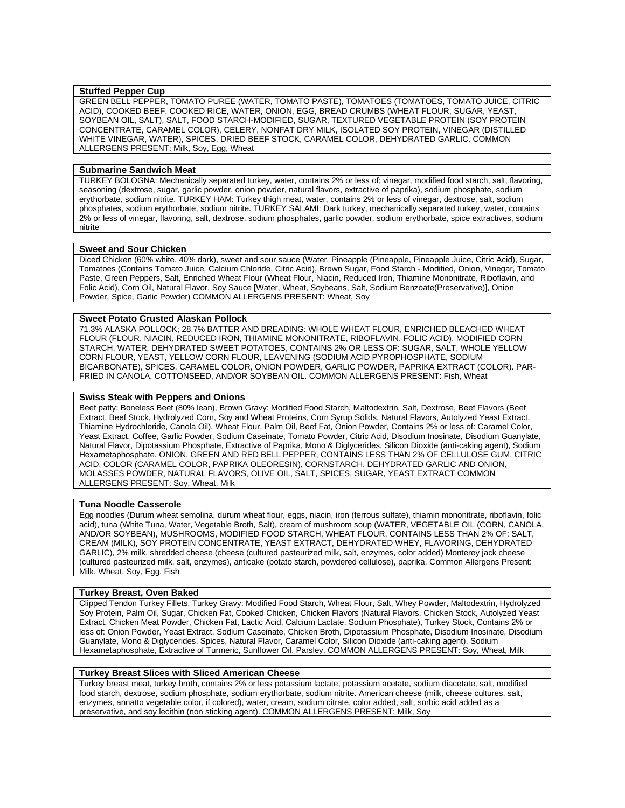# **Stuffed Pepper Cup**

GREEN BELL PEPPER, TOMATO PUREE (WATER, TOMATO PASTE), TOMATOES (TOMATOES, TOMATO JUICE, CITRIC ACID), COOKED BEEF, COOKED RICE, WATER, ONION, EGG, BREAD CRUMBS (WHEAT FLOUR, SUGAR, YEAST, SOYBEAN OIL, SALT), SALT, FOOD STARCH-MODIFIED, SUGAR, TEXTURED VEGETABLE PROTEIN (SOY PROTEIN CONCENTRATE, CARAMEL COLOR), CELERY, NONFAT DRY MILK, ISOLATED SOY PROTEIN, VINEGAR (DISTILLED WHITE VINEGAR, WATER), SPICES, DRIED BEEF STOCK, CARAMEL COLOR, DEHYDRATED GARLIC. COMMON ALLERGENS PRESENT: Milk, Soy, Egg, Wheat

# **Submarine Sandwich Meat**

TURKEY BOLOGNA: Mechanically separated turkey, water, contains 2% or less of; vinegar, modified food starch, salt, flavoring, seasoning (dextrose, sugar, garlic powder, onion powder, natural flavors, extractive of paprika), sodium phosphate, sodium erythorbate, sodium nitrite. TURKEY HAM: Turkey thigh meat, water, contains 2% or less of vinegar, dextrose, salt, sodium phosphates, sodium erythorbate, sodium nitrite. TURKEY SALAMI: Dark turkey, mechanically separated turkey, water, contains 2% or less of vinegar, flavoring, salt, dextrose, sodium phosphates, garlic powder, sodium erythorbate, spice extractives, sodium nitrite

#### **Sweet and Sour Chicken**

Diced Chicken (60% white, 40% dark), sweet and sour sauce (Water, Pineapple (Pineapple, Pineapple Juice, Citric Acid), Sugar, Tomatoes (Contains Tomato Juice, Calcium Chloride, Citric Acid), Brown Sugar, Food Starch - Modified, Onion, Vinegar, Tomato Paste, Green Peppers, Salt, Enriched Wheat Flour (Wheat Flour, Niacin, Reduced Iron, Thiamine Mononitrate, Riboflavin, and Folic Acid), Corn Oil, Natural Flavor, Soy Sauce [Water, Wheat, Soybeans, Salt, Sodium Benzoate(Preservative)], Onion Powder, Spice, Garlic Powder) COMMON ALLERGENS PRESENT: Wheat, Soy

## **Sweet Potato Crusted Alaskan Pollock**

71.3% ALASKA POLLOCK; 28.7% BATTER AND BREADING: WHOLE WHEAT FLOUR, ENRICHED BLEACHED WHEAT FLOUR (FLOUR, NIACIN, REDUCED IRON, THIAMINE MONONITRATE, RIBOFLAVIN, FOLIC ACID), MODIFIED CORN STARCH, WATER, DEHYDRATED SWEET POTATOES, CONTAINS 2% OR LESS OF: SUGAR, SALT, WHOLE YELLOW CORN FLOUR, YEAST, YELLOW CORN FLOUR, LEAVENING (SODIUM ACID PYROPHOSPHATE, SODIUM BICARBONATE), SPICES, CARAMEL COLOR, ONION POWDER, GARLIC POWDER, PAPRIKA EXTRACT (COLOR). PAR-FRIED IN CANOLA, COTTONSEED, AND/OR SOYBEAN OIL. COMMON ALLERGENS PRESENT: Fish, Wheat

# **Swiss Steak with Peppers and Onions**

Beef patty: Boneless Beef (80% lean), Brown Gravy: Modified Food Starch, Maltodextrin, Salt, Dextrose, Beef Flavors (Beef Extract, Beef Stock, Hydrolyzed Corn, Soy and Wheat Proteins, Corn Syrup Solids, Natural Flavors, Autolyzed Yeast Extract, Thiamine Hydrochloride, Canola Oil), Wheat Flour, Palm Oil, Beef Fat, Onion Powder, Contains 2% or less of: Caramel Color, Yeast Extract, Coffee, Garlic Powder, Sodium Caseinate, Tomato Powder, Citric Acid, Disodium Inosinate, Disodium Guanylate, Natural Flavor, Dipotassium Phosphate, Extractive of Paprika, Mono & Diglycerides, Silicon Dioxide (anti-caking agent), Sodium Hexametaphosphate. ONION, GREEN AND RED BELL PEPPER, CONTAINS LESS THAN 2% OF CELLULOSE GUM, CITRIC ACID, COLOR (CARAMEL COLOR, PAPRIKA OLEORESIN), CORNSTARCH, DEHYDRATED GARLIC AND ONION, MOLASSES POWDER, NATURAL FLAVORS, OLIVE OIL, SALT, SPICES, SUGAR, YEAST EXTRACT COMMON ALLERGENS PRESENT: Soy, Wheat, Milk

# **Tuna Noodle Casserole**

Egg noodles (Durum wheat semolina, durum wheat flour, eggs, niacin, iron (ferrous sulfate), thiamin mononitrate, riboflavin, folic acid), tuna (White Tuna, Water, Vegetable Broth, Salt), cream of mushroom soup (WATER, VEGETABLE OIL (CORN, CANOLA, AND/OR SOYBEAN), MUSHROOMS, MODIFIED FOOD STARCH, WHEAT FLOUR, CONTAINS LESS THAN 2% OF: SALT, CREAM (MILK), SOY PROTEIN CONCENTRATE, YEAST EXTRACT, DEHYDRATED WHEY, FLAVORING, DEHYDRATED GARLIC), 2% milk, shredded cheese (cheese (cultured pasteurized milk, salt, enzymes, color added) Monterey jack cheese (cultured pasteurized milk, salt, enzymes), anticake (potato starch, powdered cellulose), paprika. Common Allergens Present: Milk, Wheat, Soy, Egg, Fish

# **Turkey Breast, Oven Baked**

Clipped Tendon Turkey Fillets, Turkey Gravy: Modified Food Starch, Wheat Flour, Salt, Whey Powder, Maltodextrin, Hydrolyzed Soy Protein, Palm Oil, Sugar, Chicken Fat, Cooked Chicken, Chicken Flavors (Natural Flavors, Chicken Stock, Autolyzed Yeast Extract, Chicken Meat Powder, Chicken Fat, Lactic Acid, Calcium Lactate, Sodium Phosphate), Turkey Stock, Contains 2% or less of: Onion Powder, Yeast Extract, Sodium Caseinate, Chicken Broth, Dipotassium Phosphate, Disodium Inosinate, Disodium Guanylate, Mono & Diglycerides, Spices, Natural Flavor, Caramel Color, Silicon Dioxide (anti-caking agent), Sodium Hexametaphosphate, Extractive of Turmeric, Sunflower Oil. Parsley. COMMON ALLERGENS PRESENT: Soy, Wheat, Milk

# **Turkey Breast Slices with Sliced American Cheese**

Turkey breast meat, turkey broth, contains 2% or less potassium lactate, potassium acetate, sodium diacetate, salt, modified food starch, dextrose, sodium phosphate, sodium erythorbate, sodium nitrite. American cheese (milk, cheese cultures, salt, enzymes, annatto vegetable color, if colored), water, cream, sodium citrate, color added, salt, sorbic acid added as a preservative, and soy lecithin (non sticking agent). COMMON ALLERGENS PRESENT: Milk, Soy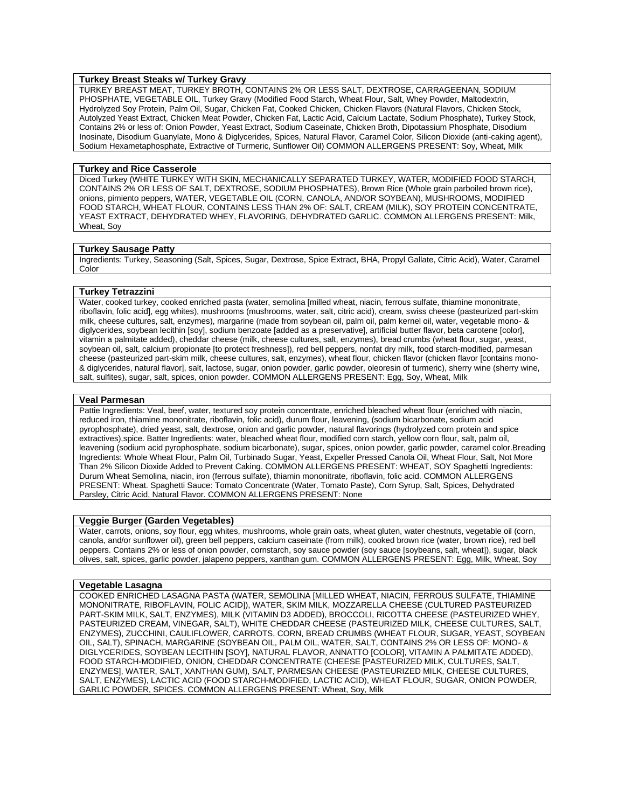# **Turkey Breast Steaks w/ Turkey Gravy**

TURKEY BREAST MEAT, TURKEY BROTH, CONTAINS 2% OR LESS SALT, DEXTROSE, CARRAGEENAN, SODIUM PHOSPHATE, VEGETABLE OIL, Turkey Gravy (Modified Food Starch, Wheat Flour, Salt, Whey Powder, Maltodextrin, Hydrolyzed Soy Protein, Palm Oil, Sugar, Chicken Fat, Cooked Chicken, Chicken Flavors (Natural Flavors, Chicken Stock, Autolyzed Yeast Extract, Chicken Meat Powder, Chicken Fat, Lactic Acid, Calcium Lactate, Sodium Phosphate), Turkey Stock, Contains 2% or less of: Onion Powder, Yeast Extract, Sodium Caseinate, Chicken Broth, Dipotassium Phosphate, Disodium Inosinate, Disodium Guanylate, Mono & Diglycerides, Spices, Natural Flavor, Caramel Color, Silicon Dioxide (anti-caking agent), Sodium Hexametaphosphate, Extractive of Turmeric, Sunflower Oil) COMMON ALLERGENS PRESENT: Soy, Wheat, Milk

#### **Turkey and Rice Casserole**

Diced Turkey (WHITE TURKEY WITH SKIN, MECHANICALLY SEPARATED TURKEY, WATER, MODIFIED FOOD STARCH, CONTAINS 2% OR LESS OF SALT, DEXTROSE, SODIUM PHOSPHATES), Brown Rice (Whole grain parboiled brown rice), onions, pimiento peppers, WATER, VEGETABLE OIL (CORN, CANOLA, AND/OR SOYBEAN), MUSHROOMS, MODIFIED FOOD STARCH, WHEAT FLOUR, CONTAINS LESS THAN 2% OF: SALT, CREAM (MILK), SOY PROTEIN CONCENTRATE, YEAST EXTRACT, DEHYDRATED WHEY, FLAVORING, DEHYDRATED GARLIC. COMMON ALLERGENS PRESENT: Milk, Wheat, Soy

#### **Turkey Sausage Patty**

Ingredients: Turkey, Seasoning (Salt, Spices, Sugar, Dextrose, Spice Extract, BHA, Propyl Gallate, Citric Acid), Water, Caramel Color

# **Turkey Tetrazzini**

Water, cooked turkey, cooked enriched pasta (water, semolina [milled wheat, niacin, ferrous sulfate, thiamine mononitrate, riboflavin, folic acid], egg whites), mushrooms (mushrooms, water, salt, citric acid), cream, swiss cheese (pasteurized part-skim milk, cheese cultures, salt, enzymes), margarine (made from soybean oil, palm oil, palm kernel oil, water, vegetable mono- & diglycerides, soybean lecithin [soy], sodium benzoate [added as a preservative], artificial butter flavor, beta carotene [color], vitamin a palmitate added), cheddar cheese (milk, cheese cultures, salt, enzymes), bread crumbs (wheat flour, sugar, yeast, soybean oil, salt, calcium propionate [to protect freshness]), red bell peppers, nonfat dry milk, food starch-modified, parmesan cheese (pasteurized part-skim milk, cheese cultures, salt, enzymes), wheat flour, chicken flavor (chicken flavor [contains mono- & diglycerides, natural flavor], salt, lactose, sugar, onion powder, garlic powder, oleoresin of turmeric), sherry wine (sherry wine, salt, sulfites), sugar, salt, spices, onion powder. COMMON ALLERGENS PRESENT: Egg, Soy, Wheat, Milk

#### **Veal Parmesan**

Pattie Ingredients: Veal, beef, water, textured soy protein concentrate, enriched bleached wheat flour (enriched with niacin, reduced iron, thiamine mononitrate, riboflavin, folic acid), durum flour, leavening, (sodium bicarbonate, sodium acid pyrophosphate), dried yeast, salt, dextrose, onion and garlic powder, natural flavorings (hydrolyzed corn protein and spice extractives),spice. Batter Ingredients: water, bleached wheat flour, modified corn starch, yellow corn flour, salt, palm oil, leavening (sodium acid pyrophosphate, sodium bicarbonate), sugar, spices, onion powder, garlic powder, caramel color.Breading Ingredients: Whole Wheat Flour, Palm Oil, Turbinado Sugar, Yeast, Expeller Pressed Canola Oil, Wheat Flour, Salt, Not More Than 2% Silicon Dioxide Added to Prevent Caking. COMMON ALLERGENS PRESENT: WHEAT, SOY Spaghetti Ingredients: Durum Wheat Semolina, niacin, iron (ferrous sulfate), thiamin mononitrate, riboflavin, folic acid. COMMON ALLERGENS PRESENT: Wheat. Spaghetti Sauce: Tomato Concentrate (Water, Tomato Paste), Corn Syrup, Salt, Spices, Dehydrated Parsley, Citric Acid, Natural Flavor. COMMON ALLERGENS PRESENT: None

# **Veggie Burger (Garden Vegetables)**

Water, carrots, onions, soy flour, egg whites, mushrooms, whole grain oats, wheat gluten, water chestnuts, vegetable oil (corn, canola, and/or sunflower oil), green bell peppers, calcium caseinate (from milk), cooked brown rice (water, brown rice), red bell peppers. Contains 2% or less of onion powder, cornstarch, soy sauce powder (soy sauce [soybeans, salt, wheat]), sugar, black olives, salt, spices, garlic powder, jalapeno peppers, xanthan gum. COMMON ALLERGENS PRESENT: Egg, Milk, Wheat, Soy

#### **Vegetable Lasagna**

COOKED ENRICHED LASAGNA PASTA (WATER, SEMOLINA [MILLED WHEAT, NIACIN, FERROUS SULFATE, THIAMINE MONONITRATE, RIBOFLAVIN, FOLIC ACID]), WATER, SKIM MILK, MOZZARELLA CHEESE (CULTURED PASTEURIZED PART-SKIM MILK, SALT, ENZYMES), MILK (VITAMIN D3 ADDED), BROCCOLI, RICOTTA CHEESE (PASTEURIZED WHEY, PASTEURIZED CREAM, VINEGAR, SALT), WHITE CHEDDAR CHEESE (PASTEURIZED MILK, CHEESE CULTURES, SALT, ENZYMES), ZUCCHINI, CAULIFLOWER, CARROTS, CORN, BREAD CRUMBS (WHEAT FLOUR, SUGAR, YEAST, SOYBEAN OIL, SALT), SPINACH, MARGARINE (SOYBEAN OIL, PALM OIL, WATER, SALT, CONTAINS 2% OR LESS OF: MONO- & DIGLYCERIDES, SOYBEAN LECITHIN [SOY], NATURAL FLAVOR, ANNATTO [COLOR], VITAMIN A PALMITATE ADDED), FOOD STARCH-MODIFIED, ONION, CHEDDAR CONCENTRATE (CHEESE [PASTEURIZED MILK, CULTURES, SALT, ENZYMES], WATER, SALT, XANTHAN GUM), SALT, PARMESAN CHEESE (PASTEURIZED MILK, CHEESE CULTURES, SALT, ENZYMES), LACTIC ACID (FOOD STARCH-MODIFIED, LACTIC ACID), WHEAT FLOUR, SUGAR, ONION POWDER, GARLIC POWDER, SPICES. COMMON ALLERGENS PRESENT: Wheat, Soy, Milk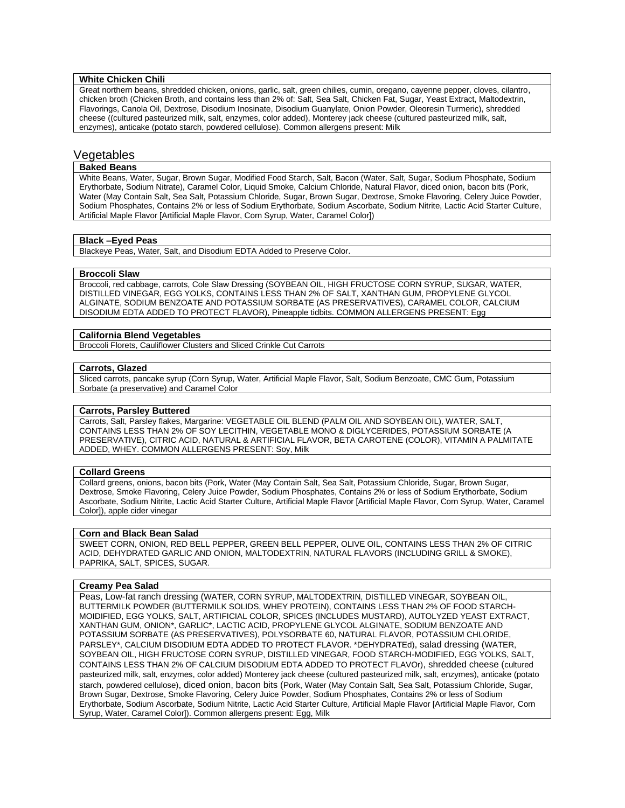# **White Chicken Chili**

Great northern beans, shredded chicken, onions, garlic, salt, green chilies, cumin, oregano, cayenne pepper, cloves, cilantro, chicken broth (Chicken Broth, and contains less than 2% of: Salt, Sea Salt, Chicken Fat, Sugar, Yeast Extract, Maltodextrin, Flavorings, Canola Oil, Dextrose, Disodium Inosinate, Disodium Guanylate, Onion Powder, Oleoresin Turmeric), shredded cheese ((cultured pasteurized milk, salt, enzymes, color added), Monterey jack cheese (cultured pasteurized milk, salt, enzymes), anticake (potato starch, powdered cellulose). Common allergens present: Milk

# Vegetables

# **Baked Beans**

White Beans, Water, Sugar, Brown Sugar, Modified Food Starch, Salt, Bacon (Water, Salt, Sugar, Sodium Phosphate, Sodium Erythorbate, Sodium Nitrate), Caramel Color, Liquid Smoke, Calcium Chloride, Natural Flavor, diced onion, bacon bits (Pork, Water (May Contain Salt, Sea Salt, Potassium Chloride, Sugar, Brown Sugar, Dextrose, Smoke Flavoring, Celery Juice Powder, Sodium Phosphates, Contains 2% or less of Sodium Erythorbate, Sodium Ascorbate, Sodium Nitrite, Lactic Acid Starter Culture, Artificial Maple Flavor [Artificial Maple Flavor, Corn Syrup, Water, Caramel Color])

# **Black –Eyed Peas**

Blackeye Peas, Water, Salt, and Disodium EDTA Added to Preserve Color.

#### **Broccoli Slaw**

Broccoli, red cabbage, carrots, Cole Slaw Dressing (SOYBEAN OIL, HIGH FRUCTOSE CORN SYRUP, SUGAR. WATER. DISTILLED VINEGAR, EGG YOLKS, CONTAINS LESS THAN 2% OF SALT, XANTHAN GUM, PROPYLENE GLYCOL ALGINATE, SODIUM BENZOATE AND POTASSIUM SORBATE (AS PRESERVATIVES), CARAMEL COLOR, CALCIUM DISODIUM EDTA ADDED TO PROTECT FLAVOR), Pineapple tidbits. COMMON ALLERGENS PRESENT: Egg

#### **California Blend Vegetables**

Broccoli Florets, Cauliflower Clusters and Sliced Crinkle Cut Carrots

# **Carrots, Glazed**

Sliced carrots, pancake syrup (Corn Syrup, Water, Artificial Maple Flavor, Salt, Sodium Benzoate, CMC Gum, Potassium Sorbate (a preservative) and Caramel Color

# **Carrots, Parsley Buttered**

Carrots, Salt, Parsley flakes, Margarine: VEGETABLE OIL BLEND (PALM OIL AND SOYBEAN OIL), WATER, SALT, CONTAINS LESS THAN 2% OF SOY LECITHIN, VEGETABLE MONO & DIGLYCERIDES, POTASSIUM SORBATE (A PRESERVATIVE), CITRIC ACID, NATURAL & ARTIFICIAL FLAVOR, BETA CAROTENE (COLOR), VITAMIN A PALMITATE ADDED, WHEY. COMMON ALLERGENS PRESENT: Soy, Milk

# **Collard Greens**

Collard greens, onions, bacon bits (Pork, Water (May Contain Salt, Sea Salt, Potassium Chloride, Sugar, Brown Sugar, Dextrose, Smoke Flavoring, Celery Juice Powder, Sodium Phosphates, Contains 2% or less of Sodium Erythorbate, Sodium Ascorbate, Sodium Nitrite, Lactic Acid Starter Culture, Artificial Maple Flavor [Artificial Maple Flavor, Corn Syrup, Water, Caramel Color]), apple cider vinegar

# **Corn and Black Bean Salad**

SWEET CORN, ONION, RED BELL PEPPER, GREEN BELL PEPPER, OLIVE OIL, CONTAINS LESS THAN 2% OF CITRIC ACID, DEHYDRATED GARLIC AND ONION, MALTODEXTRIN, NATURAL FLAVORS (INCLUDING GRILL & SMOKE), PAPRIKA, SALT, SPICES, SUGAR.

# **Creamy Pea Salad**

Peas, Low-fat ranch dressing (WATER, CORN SYRUP, MALTODEXTRIN, DISTILLED VINEGAR, SOYBEAN OIL, BUTTERMILK POWDER (BUTTERMILK SOLIDS, WHEY PROTEIN), CONTAINS LESS THAN 2% OF FOOD STARCH-MOIDIFIED, EGG YOLKS, SALT, ARTIFICIAL COLOR, SPICES (INCLUDES MUSTARD), AUTOLYZED YEAST EXTRACT, XANTHAN GUM, ONION\*, GARLIC\*, LACTIC ACID, PROPYLENE GLYCOL ALGINATE, SODIUM BENZOATE AND POTASSIUM SORBATE (AS PRESERVATIVES), POLYSORBATE 60, NATURAL FLAVOR, POTASSIUM CHLORIDE, PARSLEY\*, CALCIUM DISODIUM EDTA ADDED TO PROTECT FLAVOR. \*DEHYDRATEd), salad dressing (WATER, SOYBEAN OIL, HIGH FRUCTOSE CORN SYRUP, DISTILLED VINEGAR, FOOD STARCH-MODIFIED, EGG YOLKS, SALT, CONTAINS LESS THAN 2% OF CALCIUM DISODIUM EDTA ADDED TO PROTECT FLAVOr), shredded cheese (cultured pasteurized milk, salt, enzymes, color added) Monterey jack cheese (cultured pasteurized milk, salt, enzymes), anticake (potato starch, powdered cellulose), diced onion, bacon bits (Pork, Water (May Contain Salt, Sea Salt, Potassium Chloride, Sugar, Brown Sugar, Dextrose, Smoke Flavoring, Celery Juice Powder, Sodium Phosphates, Contains 2% or less of Sodium Erythorbate, Sodium Ascorbate, Sodium Nitrite, Lactic Acid Starter Culture, Artificial Maple Flavor [Artificial Maple Flavor, Corn Syrup, Water, Caramel Color]). Common allergens present: Egg, Milk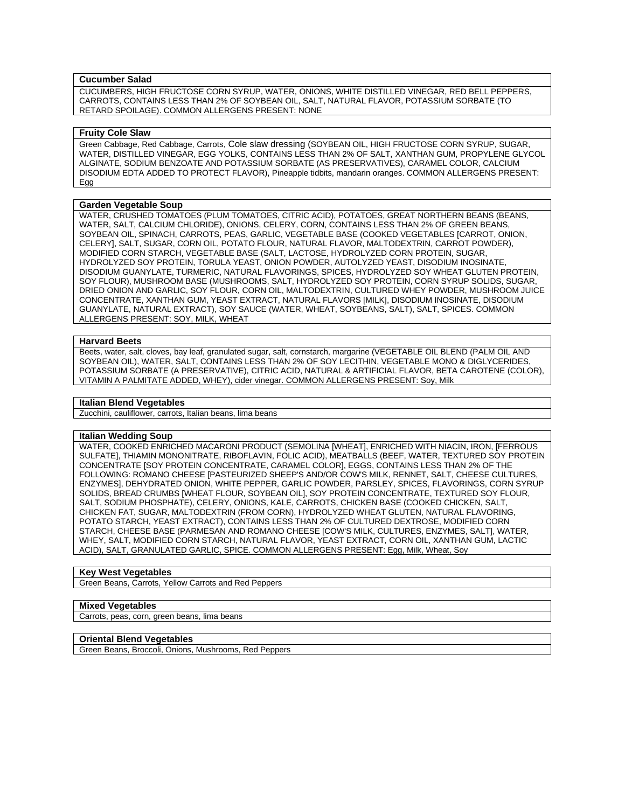# **Cucumber Salad**

CUCUMBERS, HIGH FRUCTOSE CORN SYRUP, WATER, ONIONS, WHITE DISTILLED VINEGAR, RED BELL PEPPERS, CARROTS, CONTAINS LESS THAN 2% OF SOYBEAN OIL, SALT, NATURAL FLAVOR, POTASSIUM SORBATE (TO RETARD SPOILAGE). COMMON ALLERGENS PRESENT: NONE

## **Fruity Cole Slaw**

Green Cabbage, Red Cabbage, Carrots, Cole slaw dressing (SOYBEAN OIL, HIGH FRUCTOSE CORN SYRUP, SUGAR, WATER, DISTILLED VINEGAR, EGG YOLKS, CONTAINS LESS THAN 2% OF SALT, XANTHAN GUM, PROPYLENE GLYCOL ALGINATE, SODIUM BENZOATE AND POTASSIUM SORBATE (AS PRESERVATIVES), CARAMEL COLOR, CALCIUM DISODIUM EDTA ADDED TO PROTECT FLAVOR), Pineapple tidbits, mandarin oranges. COMMON ALLERGENS PRESENT: Egg

# **Garden Vegetable Soup**

WATER, CRUSHED TOMATOES (PLUM TOMATOES, CITRIC ACID), POTATOES, GREAT NORTHERN BEANS (BEANS, WATER, SALT, CALCIUM CHLORIDE), ONIONS, CELERY, CORN, CONTAINS LESS THAN 2% OF GREEN BEANS, SOYBEAN OIL, SPINACH, CARROTS, PEAS, GARLIC, VEGETABLE BASE (COOKED VEGETABLES [CARROT, ONION, CELERY], SALT, SUGAR, CORN OIL, POTATO FLOUR, NATURAL FLAVOR, MALTODEXTRIN, CARROT POWDER), MODIFIED CORN STARCH, VEGETABLE BASE (SALT, LACTOSE, HYDROLYZED CORN PROTEIN, SUGAR, HYDROLYZED SOY PROTEIN, TORULA YEAST, ONION POWDER, AUTOLYZED YEAST, DISODIUM INOSINATE, DISODIUM GUANYLATE, TURMERIC, NATURAL FLAVORINGS, SPICES, HYDROLYZED SOY WHEAT GLUTEN PROTEIN, SOY FLOUR), MUSHROOM BASE (MUSHROOMS, SALT, HYDROLYZED SOY PROTEIN, CORN SYRUP SOLIDS, SUGAR, DRIED ONION AND GARLIC, SOY FLOUR, CORN OIL, MALTODEXTRIN, CULTURED WHEY POWDER, MUSHROOM JUICE CONCENTRATE, XANTHAN GUM, YEAST EXTRACT, NATURAL FLAVORS [MILK], DISODIUM INOSINATE, DISODIUM GUANYLATE, NATURAL EXTRACT), SOY SAUCE (WATER, WHEAT, SOYBEANS, SALT), SALT, SPICES. COMMON ALLERGENS PRESENT: SOY, MILK, WHEAT

#### **Harvard Beets**

Beets, water, salt, cloves, bay leaf, granulated sugar, salt, cornstarch, margarine (VEGETABLE OIL BLEND (PALM OIL AND SOYBEAN OIL), WATER, SALT, CONTAINS LESS THAN 2% OF SOY LECITHIN, VEGETABLE MONO & DIGLYCERIDES, POTASSIUM SORBATE (A PRESERVATIVE), CITRIC ACID, NATURAL & ARTIFICIAL FLAVOR, BETA CAROTENE (COLOR), VITAMIN A PALMITATE ADDED, WHEY), cider vinegar. COMMON ALLERGENS PRESENT: Soy, Milk

#### **Italian Blend Vegetables**

Zucchini, cauliflower, carrots, Italian beans, lima beans

# **Italian Wedding Soup**

WATER, COOKED ENRICHED MACARONI PRODUCT (SEMOLINA [WHEAT], ENRICHED WITH NIACIN, IRON, [FERROUS SULFATE], THIAMIN MONONITRATE, RIBOFLAVIN, FOLIC ACID), MEATBALLS (BEEF, WATER, TEXTURED SOY PROTEIN CONCENTRATE [SOY PROTEIN CONCENTRATE, CARAMEL COLOR], EGGS, CONTAINS LESS THAN 2% OF THE FOLLOWING: ROMANO CHEESE [PASTEURIZED SHEEP'S AND/OR COW'S MILK, RENNET, SALT, CHEESE CULTURES, ENZYMES], DEHYDRATED ONION, WHITE PEPPER, GARLIC POWDER, PARSLEY, SPICES, FLAVORINGS, CORN SYRUP SOLIDS, BREAD CRUMBS [WHEAT FLOUR, SOYBEAN OIL], SOY PROTEIN CONCENTRATE, TEXTURED SOY FLOUR, SALT, SODIUM PHOSPHATE), CELERY, ONIONS, KALE, CARROTS, CHICKEN BASE (COOKED CHICKEN, SALT, CHICKEN FAT, SUGAR, MALTODEXTRIN (FROM CORN), HYDROLYZED WHEAT GLUTEN, NATURAL FLAVORING, POTATO STARCH, YEAST EXTRACT), CONTAINS LESS THAN 2% OF CULTURED DEXTROSE, MODIFIED CORN STARCH, CHEESE BASE (PARMESAN AND ROMANO CHEESE [COW'S MILK, CULTURES, ENZYMES, SALT], WATER, WHEY, SALT, MODIFIED CORN STARCH, NATURAL FLAVOR, YEAST EXTRACT, CORN OIL, XANTHAN GUM, LACTIC ACID), SALT, GRANULATED GARLIC, SPICE. COMMON ALLERGENS PRESENT: Egg, Milk, Wheat, Soy

# **Key West Vegetables**

Green Beans, Carrots, Yellow Carrots and Red Peppers

#### **Mixed Vegetables**

Carrots, peas, corn, green beans, lima beans

# **Oriental Blend Vegetables**

Green Beans, Broccoli, Onions, Mushrooms, Red Peppers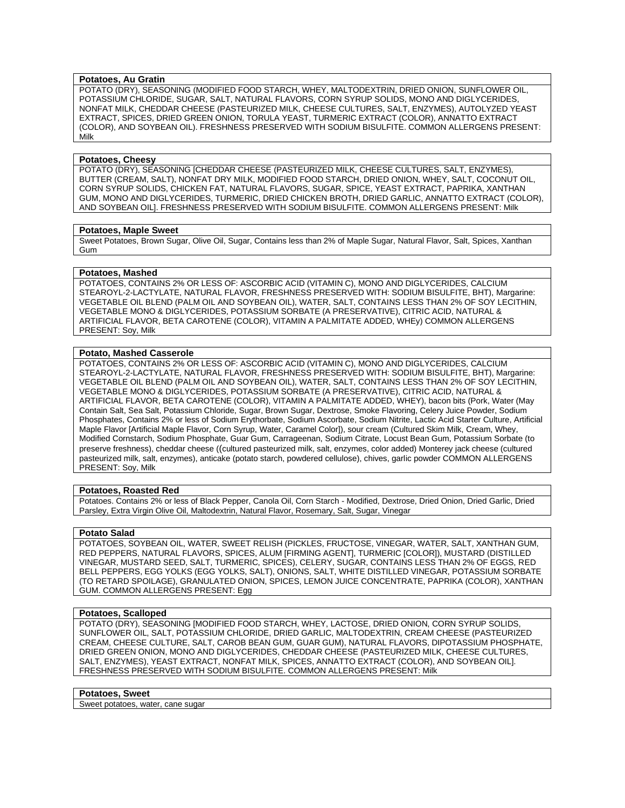# **Potatoes, Au Gratin**

POTATO (DRY), SEASONING (MODIFIED FOOD STARCH, WHEY, MALTODEXTRIN, DRIED ONION, SUNFLOWER OIL, POTASSIUM CHLORIDE, SUGAR, SALT, NATURAL FLAVORS, CORN SYRUP SOLIDS, MONO AND DIGLYCERIDES, NONFAT MILK, CHEDDAR CHEESE (PASTEURIZED MILK, CHEESE CULTURES, SALT, ENZYMES), AUTOLYZED YEAST EXTRACT, SPICES, DRIED GREEN ONION, TORULA YEAST, TURMERIC EXTRACT (COLOR), ANNATTO EXTRACT (COLOR), AND SOYBEAN OIL). FRESHNESS PRESERVED WITH SODIUM BISULFITE. COMMON ALLERGENS PRESENT: Milk

#### **Potatoes, Cheesy**

POTATO (DRY), SEASONING [CHEDDAR CHEESE (PASTEURIZED MILK, CHEESE CULTURES, SALT, ENZYMES), BUTTER (CREAM, SALT), NONFAT DRY MILK, MODIFIED FOOD STARCH, DRIED ONION, WHEY, SALT, COCONUT OIL, CORN SYRUP SOLIDS, CHICKEN FAT, NATURAL FLAVORS, SUGAR, SPICE, YEAST EXTRACT, PAPRIKA, XANTHAN GUM, MONO AND DIGLYCERIDES, TURMERIC, DRIED CHICKEN BROTH, DRIED GARLIC, ANNATTO EXTRACT (COLOR), AND SOYBEAN OIL]. FRESHNESS PRESERVED WITH SODIUM BISULFITE. COMMON ALLERGENS PRESENT: Milk

# **Potatoes, Maple Sweet**

Sweet Potatoes, Brown Sugar, Olive Oil, Sugar, Contains less than 2% of Maple Sugar, Natural Flavor, Salt, Spices, Xanthan Gum

#### **Potatoes, Mashed**

POTATOES, CONTAINS 2% OR LESS OF: ASCORBIC ACID (VITAMIN C), MONO AND DIGLYCERIDES, CALCIUM STEAROYL-2-LACTYLATE, NATURAL FLAVOR, FRESHNESS PRESERVED WITH: SODIUM BISULFITE, BHT), Margarine: VEGETABLE OIL BLEND (PALM OIL AND SOYBEAN OIL), WATER, SALT, CONTAINS LESS THAN 2% OF SOY LECITHIN, VEGETABLE MONO & DIGLYCERIDES, POTASSIUM SORBATE (A PRESERVATIVE), CITRIC ACID, NATURAL & ARTIFICIAL FLAVOR, BETA CAROTENE (COLOR), VITAMIN A PALMITATE ADDED, WHEy) COMMON ALLERGENS PRESENT: Soy, Milk

# **Potato, Mashed Casserole**

POTATOES, CONTAINS 2% OR LESS OF: ASCORBIC ACID (VITAMIN C), MONO AND DIGLYCERIDES, CALCIUM STEAROYL-2-LACTYLATE, NATURAL FLAVOR, FRESHNESS PRESERVED WITH: SODIUM BISULFITE, BHT), Margarine: VEGETABLE OIL BLEND (PALM OIL AND SOYBEAN OIL), WATER, SALT, CONTAINS LESS THAN 2% OF SOY LECITHIN, VEGETABLE MONO & DIGLYCERIDES, POTASSIUM SORBATE (A PRESERVATIVE), CITRIC ACID, NATURAL & ARTIFICIAL FLAVOR, BETA CAROTENE (COLOR), VITAMIN A PALMITATE ADDED, WHEY), bacon bits (Pork, Water (May Contain Salt, Sea Salt, Potassium Chloride, Sugar, Brown Sugar, Dextrose, Smoke Flavoring, Celery Juice Powder, Sodium Phosphates, Contains 2% or less of Sodium Erythorbate, Sodium Ascorbate, Sodium Nitrite, Lactic Acid Starter Culture, Artificial Maple Flavor [Artificial Maple Flavor, Corn Syrup, Water, Caramel Color]), sour cream (Cultured Skim Milk, Cream, Whey, Modified Cornstarch, Sodium Phosphate, Guar Gum, Carrageenan, Sodium Citrate, Locust Bean Gum, Potassium Sorbate (to preserve freshness), cheddar cheese ((cultured pasteurized milk, salt, enzymes, color added) Monterey jack cheese (cultured pasteurized milk, salt, enzymes), anticake (potato starch, powdered cellulose), chives, garlic powder COMMON ALLERGENS PRESENT: Soy, Milk

# **Potatoes, Roasted Red**

Potatoes. Contains 2% or less of Black Pepper, Canola Oil, Corn Starch - Modified, Dextrose, Dried Onion, Dried Garlic, Dried Parsley, Extra Virgin Olive Oil, Maltodextrin, Natural Flavor, Rosemary, Salt, Sugar, Vinegar

#### **Potato Salad**

POTATOES, SOYBEAN OIL, WATER, SWEET RELISH (PICKLES, FRUCTOSE, VINEGAR, WATER, SALT, XANTHAN GUM, RED PEPPERS, NATURAL FLAVORS, SPICES, ALUM [FIRMING AGENT], TURMERIC [COLOR]), MUSTARD (DISTILLED VINEGAR, MUSTARD SEED, SALT, TURMERIC, SPICES), CELERY, SUGAR, CONTAINS LESS THAN 2% OF EGGS, RED BELL PEPPERS, EGG YOLKS (EGG YOLKS, SALT), ONIONS, SALT, WHITE DISTILLED VINEGAR, POTASSIUM SORBATE (TO RETARD SPOILAGE), GRANULATED ONION, SPICES, LEMON JUICE CONCENTRATE, PAPRIKA (COLOR), XANTHAN GUM. COMMON ALLERGENS PRESENT: Egg

#### **Potatoes, Scalloped**

POTATO (DRY), SEASONING [MODIFIED FOOD STARCH, WHEY, LACTOSE, DRIED ONION, CORN SYRUP SOLIDS, SUNFLOWER OIL, SALT, POTASSIUM CHLORIDE, DRIED GARLIC, MALTODEXTRIN, CREAM CHEESE (PASTEURIZED CREAM, CHEESE CULTURE, SALT, CAROB BEAN GUM, GUAR GUM), NATURAL FLAVORS, DIPOTASSIUM PHOSPHATE, DRIED GREEN ONION, MONO AND DIGLYCERIDES, CHEDDAR CHEESE (PASTEURIZED MILK, CHEESE CULTURES, SALT, ENZYMES), YEAST EXTRACT, NONFAT MILK, SPICES, ANNATTO EXTRACT (COLOR), AND SOYBEAN OIL]. FRESHNESS PRESERVED WITH SODIUM BISULFITE. COMMON ALLERGENS PRESENT: Milk

#### **Potatoes, Sweet**

Sweet potatoes, water, cane sugar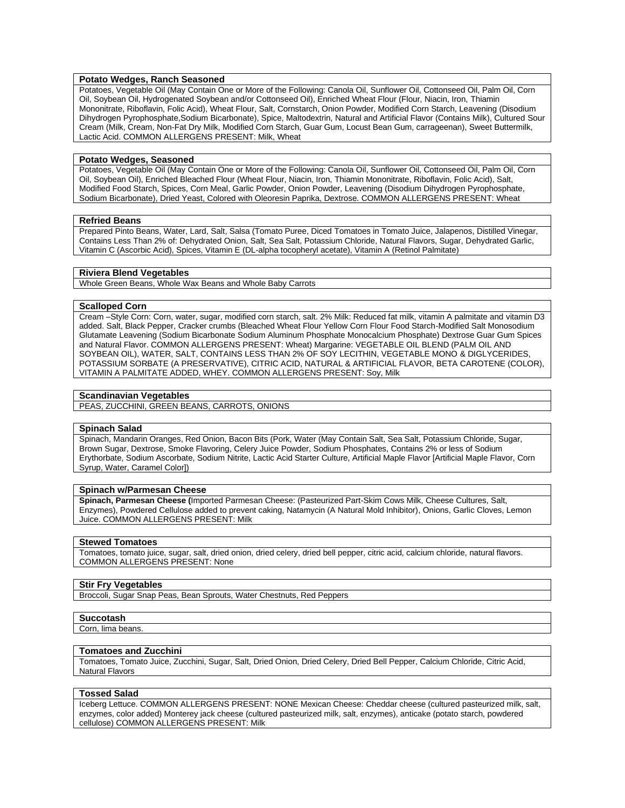# **Potato Wedges, Ranch Seasoned**

Potatoes, Vegetable Oil (May Contain One or More of the Following: Canola Oil, Sunflower Oil, Cottonseed Oil, Palm Oil, Corn Oil, Soybean Oil, Hydrogenated Soybean and/or Cottonseed Oil), Enriched Wheat Flour (Flour, Niacin, Iron, Thiamin Mononitrate, Riboflavin, Folic Acid), Wheat Flour, Salt, Cornstarch, Onion Powder, Modified Corn Starch, Leavening (Disodium Dihydrogen Pyrophosphate,Sodium Bicarbonate), Spice, Maltodextrin, Natural and Artificial Flavor (Contains Milk), Cultured Sour Cream (Milk, Cream, Non-Fat Dry Milk, Modified Corn Starch, Guar Gum, Locust Bean Gum, carrageenan), Sweet Buttermilk, Lactic Acid. COMMON ALLERGENS PRESENT: Milk, Wheat

# **Potato Wedges, Seasoned**

Potatoes, Vegetable Oil (May Contain One or More of the Following: Canola Oil, Sunflower Oil, Cottonseed Oil, Palm Oil, Corn Oil, Soybean Oil), Enriched Bleached Flour (Wheat Flour, Niacin, Iron, Thiamin Mononitrate, Riboflavin, Folic Acid), Salt, Modified Food Starch, Spices, Corn Meal, Garlic Powder, Onion Powder, Leavening (Disodium Dihydrogen Pyrophosphate, Sodium Bicarbonate), Dried Yeast, Colored with Oleoresin Paprika, Dextrose. COMMON ALLERGENS PRESENT: Wheat

#### **Refried Beans**

Prepared Pinto Beans, Water, Lard, Salt, Salsa (Tomato Puree, Diced Tomatoes in Tomato Juice, Jalapenos, Distilled Vinegar, Contains Less Than 2% of: Dehydrated Onion, Salt, Sea Salt, Potassium Chloride, Natural Flavors, Sugar, Dehydrated Garlic, Vitamin C (Ascorbic Acid), Spices, Vitamin E (DL-alpha tocopheryl acetate), Vitamin A (Retinol Palmitate)

### **Riviera Blend Vegetables**

Whole Green Beans, Whole Wax Beans and Whole Baby Carrots

#### **Scalloped Corn**

Cream –Style Corn: Corn, water, sugar, modified corn starch, salt. 2% Milk: Reduced fat milk, vitamin A palmitate and vitamin D3 added. Salt, Black Pepper, Cracker crumbs (Bleached Wheat Flour Yellow Corn Flour Food Starch-Modified Salt Monosodium Glutamate Leavening (Sodium Bicarbonate Sodium Aluminum Phosphate Monocalcium Phosphate) Dextrose Guar Gum Spices and Natural Flavor. COMMON ALLERGENS PRESENT: Wheat) Margarine: VEGETABLE OIL BLEND (PALM OIL AND SOYBEAN OIL), WATER, SALT, CONTAINS LESS THAN 2% OF SOY LECITHIN, VEGETABLE MONO & DIGLYCERIDES, POTASSIUM SORBATE (A PRESERVATIVE), CITRIC ACID, NATURAL & ARTIFICIAL FLAVOR, BETA CAROTENE (COLOR), VITAMIN A PALMITATE ADDED, WHEY. COMMON ALLERGENS PRESENT: Soy, Milk

#### **Scandinavian Vegetables**

PEAS, ZUCCHINI, GREEN BEANS, CARROTS, ONIONS

#### **Spinach Salad**

Spinach, Mandarin Oranges, Red Onion, Bacon Bits (Pork, Water (May Contain Salt, Sea Salt, Potassium Chloride, Sugar, Brown Sugar, Dextrose, Smoke Flavoring, Celery Juice Powder, Sodium Phosphates, Contains 2% or less of Sodium Erythorbate, Sodium Ascorbate, Sodium Nitrite, Lactic Acid Starter Culture, Artificial Maple Flavor [Artificial Maple Flavor, Corn Syrup, Water, Caramel Color])

#### **Spinach w/Parmesan Cheese**

**Spinach, Parmesan Cheese (**Imported Parmesan Cheese: (Pasteurized Part-Skim Cows Milk, Cheese Cultures, Salt, Enzymes), Powdered Cellulose added to prevent caking, Natamycin (A Natural Mold Inhibitor), Onions, Garlic Cloves, Lemon Juice. COMMON ALLERGENS PRESENT: Milk

#### **Stewed Tomatoes**

Tomatoes, tomato juice, sugar, salt, dried onion, dried celery, dried bell pepper, citric acid, calcium chloride, natural flavors. COMMON ALLERGENS PRESENT: None

#### **Stir Fry Vegetables**

Broccoli, Sugar Snap Peas, Bean Sprouts, Water Chestnuts, Red Peppers

#### **Succotash**

Corn, lima beans.

# **Tomatoes and Zucchini**

Tomatoes, Tomato Juice, Zucchini, Sugar, Salt, Dried Onion, Dried Celery, Dried Bell Pepper, Calcium Chloride, Citric Acid, Natural Flavors

#### **Tossed Salad**

Iceberg Lettuce. COMMON ALLERGENS PRESENT: NONE Mexican Cheese: Cheddar cheese (cultured pasteurized milk, salt, enzymes, color added) Monterey jack cheese (cultured pasteurized milk, salt, enzymes), anticake (potato starch, powdered cellulose) COMMON ALLERGENS PRESENT: Milk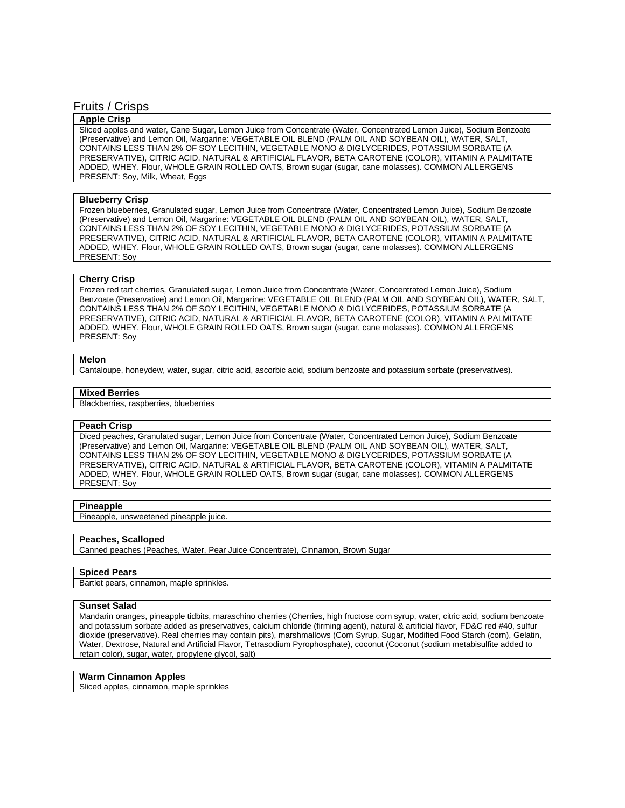# Fruits / Crisps

# **Apple Crisp**

Sliced apples and water, Cane Sugar, Lemon Juice from Concentrate (Water, Concentrated Lemon Juice), Sodium Benzoate (Preservative) and Lemon Oil, Margarine: VEGETABLE OIL BLEND (PALM OIL AND SOYBEAN OIL), WATER, SALT, CONTAINS LESS THAN 2% OF SOY LECITHIN, VEGETABLE MONO & DIGLYCERIDES, POTASSIUM SORBATE (A PRESERVATIVE), CITRIC ACID, NATURAL & ARTIFICIAL FLAVOR, BETA CAROTENE (COLOR), VITAMIN A PALMITATE ADDED, WHEY. Flour, WHOLE GRAIN ROLLED OATS, Brown sugar (sugar, cane molasses). COMMON ALLERGENS PRESENT: Soy, Milk, Wheat, Eggs

#### **Blueberry Crisp**

Frozen blueberries, Granulated sugar, Lemon Juice from Concentrate (Water, Concentrated Lemon Juice), Sodium Benzoate (Preservative) and Lemon Oil, Margarine: VEGETABLE OIL BLEND (PALM OIL AND SOYBEAN OIL), WATER, SALT, CONTAINS LESS THAN 2% OF SOY LECITHIN, VEGETABLE MONO & DIGLYCERIDES, POTASSIUM SORBATE (A PRESERVATIVE), CITRIC ACID, NATURAL & ARTIFICIAL FLAVOR, BETA CAROTENE (COLOR), VITAMIN A PALMITATE ADDED, WHEY. Flour, WHOLE GRAIN ROLLED OATS, Brown sugar (sugar, cane molasses). COMMON ALLERGENS PRESENT: Soy

#### **Cherry Crisp**

Frozen red tart cherries, Granulated sugar, Lemon Juice from Concentrate (Water, Concentrated Lemon Juice), Sodium Benzoate (Preservative) and Lemon Oil, Margarine: VEGETABLE OIL BLEND (PALM OIL AND SOYBEAN OIL), WATER, SALT, CONTAINS LESS THAN 2% OF SOY LECITHIN, VEGETABLE MONO & DIGLYCERIDES, POTASSIUM SORBATE (A PRESERVATIVE), CITRIC ACID, NATURAL & ARTIFICIAL FLAVOR, BETA CAROTENE (COLOR), VITAMIN A PALMITATE ADDED, WHEY. Flour, WHOLE GRAIN ROLLED OATS, Brown sugar (sugar, cane molasses). COMMON ALLERGENS PRESENT: Soy

# **Melon**

Cantaloupe, honeydew, water, sugar, citric acid, ascorbic acid, sodium benzoate and potassium sorbate (preservatives).

#### **Mixed Berries**

Blackberries, raspberries, blueberries

#### **Peach Crisp**

Diced peaches, Granulated sugar, Lemon Juice from Concentrate (Water, Concentrated Lemon Juice), Sodium Benzoate (Preservative) and Lemon Oil, Margarine: VEGETABLE OIL BLEND (PALM OIL AND SOYBEAN OIL), WATER, SALT, CONTAINS LESS THAN 2% OF SOY LECITHIN, VEGETABLE MONO & DIGLYCERIDES, POTASSIUM SORBATE (A PRESERVATIVE), CITRIC ACID, NATURAL & ARTIFICIAL FLAVOR, BETA CAROTENE (COLOR), VITAMIN A PALMITATE ADDED, WHEY. Flour, WHOLE GRAIN ROLLED OATS, Brown sugar (sugar, cane molasses). COMMON ALLERGENS PRESENT: Soy

#### **Pineapple**

Pineapple, unsweetened pineapple juice.

# **Peaches, Scalloped**

Canned peaches (Peaches, Water, Pear Juice Concentrate), Cinnamon, Brown Sugar

# **Spiced Pears**

Bartlet pears, cinnamon, maple sprinkles.

#### **Sunset Salad**

Mandarin oranges, pineapple tidbits, maraschino cherries (Cherries, high fructose corn syrup, water, citric acid, sodium benzoate and potassium sorbate added as preservatives, calcium chloride (firming agent), natural & artificial flavor, FD&C red #40, sulfur dioxide (preservative). Real cherries may contain pits), marshmallows (Corn Syrup, Sugar, Modified Food Starch (corn), Gelatin, Water, Dextrose, Natural and Artificial Flavor, Tetrasodium Pyrophosphate), coconut (Coconut (sodium metabisulfite added to retain color), sugar, water, propylene glycol, salt)

# **Warm Cinnamon Apples**

Sliced apples, cinnamon, maple sprinkles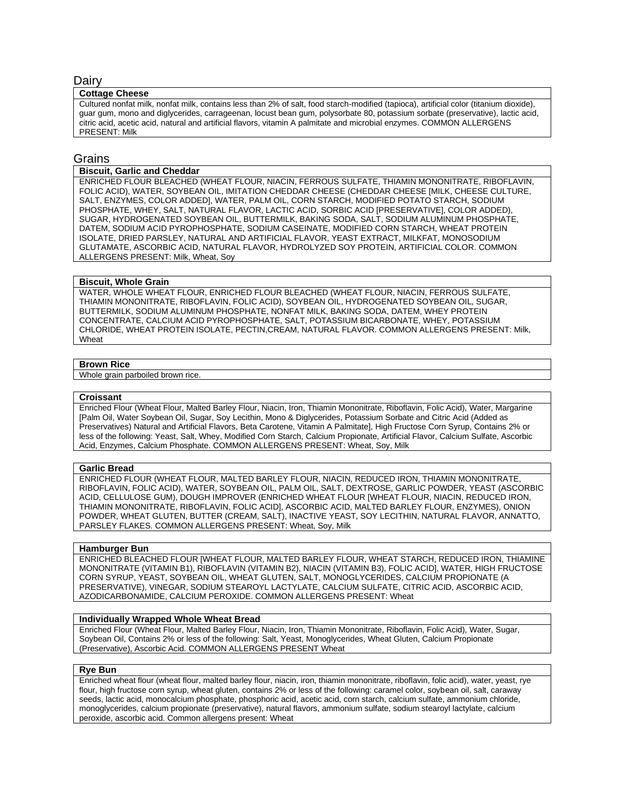# Dairy

#### **Cottage Cheese**

Cultured nonfat milk, nonfat milk, contains less than 2% of salt, food starch-modified (tapioca), artificial color (titanium dioxide), guar gum, mono and diglycerides, carrageenan, locust bean gum, polysorbate 80, potassium sorbate (preservative), lactic acid, citric acid, acetic acid, natural and artificial flavors, vitamin A palmitate and microbial enzymes. COMMON ALLERGENS PRESENT: Milk

# Grains

# **Biscuit, Garlic and Cheddar**

ENRICHED FLOUR BLEACHED (WHEAT FLOUR, NIACIN, FERROUS SULFATE, THIAMIN MONONITRATE, RIBOFLAVIN, FOLIC ACID), WATER, SOYBEAN OIL, IMITATION CHEDDAR CHEESE (CHEDDAR CHEESE [MILK, CHEESE CULTURE, SALT, ENZYMES, COLOR ADDED], WATER, PALM OIL, CORN STARCH, MODIFIED POTATO STARCH, SODIUM PHOSPHATE, WHEY, SALT, NATURAL FLAVOR, LACTIC ACID, SORBIC ACID [PRESERVATIVE], COLOR ADDED), SUGAR, HYDROGENATED SOYBEAN OIL, BUTTERMILK, BAKING SODA, SALT, SODIUM ALUMINUM PHOSPHATE, DATEM, SODIUM ACID PYROPHOSPHATE, SODIUM CASEINATE, MODIFIED CORN STARCH, WHEAT PROTEIN ISOLATE, DRIED PARSLEY, NATURAL AND ARTIFICIAL FLAVOR, YEAST EXTRACT, MILKFAT, MONOSODIUM GLUTAMATE, ASCORBIC ACID, NATURAL FLAVOR, HYDROLYZED SOY PROTEIN, ARTIFICIAL COLOR. COMMON ALLERGENS PRESENT: Milk, Wheat, Soy

#### **Biscuit, Whole Grain**

WATER, WHOLE WHEAT FLOUR, ENRICHED FLOUR BLEACHED (WHEAT FLOUR, NIACIN, FERROUS SULFATE, THIAMIN MONONITRATE, RIBOFLAVIN, FOLIC ACID), SOYBEAN OIL, HYDROGENATED SOYBEAN OIL, SUGAR, BUTTERMILK, SODIUM ALUMINUM PHOSPHATE, NONFAT MILK, BAKING SODA, DATEM, WHEY PROTEIN CONCENTRATE, CALCIUM ACID PYROPHOSPHATE, SALT, POTASSIUM BICARBONATE, WHEY, POTASSIUM CHLORIDE, WHEAT PROTEIN ISOLATE, PECTIN,CREAM, NATURAL FLAVOR. COMMON ALLERGENS PRESENT: Milk, Wheat

#### **Brown Rice**

Whole grain parboiled brown rice.

#### **Croissant**

Enriched Flour (Wheat Flour, Malted Barley Flour, Niacin, Iron, Thiamin Mononitrate, Riboflavin, Folic Acid), Water, Margarine [Palm Oil, Water Soybean Oil, Sugar, Soy Lecithin, Mono & Diglycerides, Potassium Sorbate and Citric Acid (Added as Preservatives) Natural and Artificial Flavors, Beta Carotene, Vitamin A Palmitate], High Fructose Corn Syrup, Contains 2% or less of the following: Yeast, Salt, Whey, Modified Corn Starch, Calcium Propionate, Artificial Flavor, Calcium Sulfate, Ascorbic Acid, Enzymes, Calcium Phosphate. COMMON ALLERGENS PRESENT: Wheat, Soy, Milk

#### **Garlic Bread**

ENRICHED FLOUR (WHEAT FLOUR, MALTED BARLEY FLOUR, NIACIN, REDUCED IRON, THIAMIN MONONITRATE, RIBOFLAVIN, FOLIC ACID), WATER, SOYBEAN OIL, PALM OIL, SALT, DEXTROSE, GARLIC POWDER, YEAST (ASCORBIC ACID, CELLULOSE GUM), DOUGH IMPROVER (ENRICHED WHEAT FLOUR [WHEAT FLOUR, NIACIN, REDUCED IRON, THIAMIN MONONITRATE, RIBOFLAVIN, FOLIC ACID], ASCORBIC ACID, MALTED BARLEY FLOUR, ENZYMES), ONION POWDER, WHEAT GLUTEN, BUTTER (CREAM, SALT), INACTIVE YEAST, SOY LECITHIN, NATURAL FLAVOR, ANNATTO, PARSLEY FLAKES. COMMON ALLERGENS PRESENT: Wheat, Soy, Milk

# **Hamburger Bun**

ENRICHED BLEACHED FLOUR [WHEAT FLOUR, MALTED BARLEY FLOUR, WHEAT STARCH, REDUCED IRON, THIAMINE MONONITRATE (VITAMIN B1), RIBOFLAVIN (VITAMIN B2), NIACIN (VITAMIN B3), FOLIC ACID], WATER, HIGH FRUCTOSE CORN SYRUP, YEAST, SOYBEAN OIL, WHEAT GLUTEN, SALT, MONOGLYCERIDES, CALCIUM PROPIONATE (A PRESERVATIVE), VINEGAR, SODIUM STEAROYL LACTYLATE, CALCIUM SULFATE, CITRIC ACID, ASCORBIC ACID, AZODICARBONAMIDE, CALCIUM PEROXIDE. COMMON ALLERGENS PRESENT: Wheat

#### **Individually Wrapped Whole Wheat Bread**

Enriched Flour (Wheat Flour, Malted Barley Flour, Niacin, Iron, Thiamin Mononitrate, Riboflavin, Folic Acid), Water, Sugar, Soybean Oil, Contains 2% or less of the following: Salt, Yeast, Monoglycerides, Wheat Gluten, Calcium Propionate (Preservative), Ascorbic Acid. COMMON ALLERGENS PRESENT Wheat

#### **Rye Bun**

Enriched wheat flour (wheat flour, malted barley flour, niacin, iron, thiamin mononitrate, riboflavin, folic acid), water, yeast, rye flour, high fructose corn syrup, wheat gluten, contains 2% or less of the following: caramel color, soybean oil, salt, caraway seeds, lactic acid, monocalcium phosphate, phosphoric acid, acetic acid, corn starch, calcium sulfate, ammonium chloride, monoglycerides, calcium propionate (preservative), natural flavors, ammonium sulfate, sodium stearoyl lactylate, calcium peroxide, ascorbic acid. Common allergens present: Wheat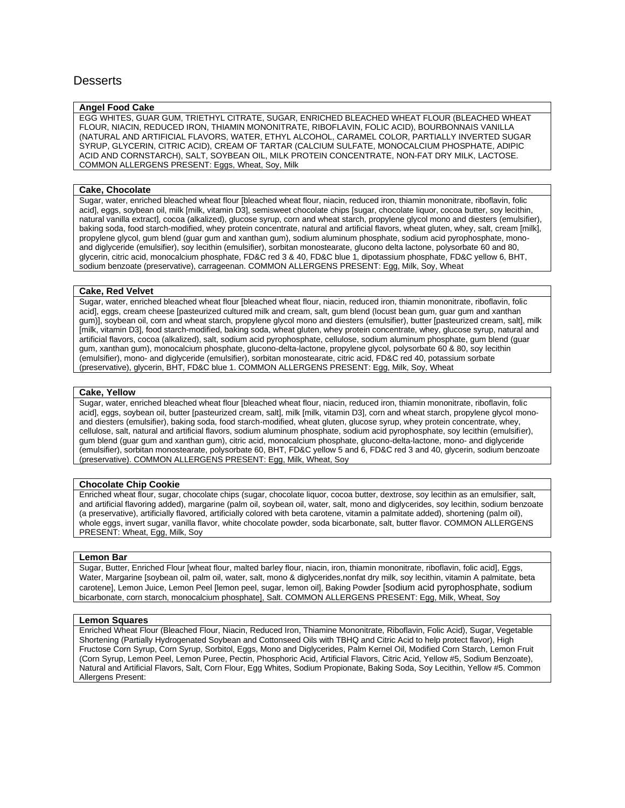# **Desserts**

# **Angel Food Cake**

EGG WHITES, GUAR GUM, TRIETHYL CITRATE, SUGAR, ENRICHED BLEACHED WHEAT FLOUR (BLEACHED WHEAT FLOUR, NIACIN, REDUCED IRON, THIAMIN MONONITRATE, RIBOFLAVIN, FOLIC ACID), BOURBONNAIS VANILLA (NATURAL AND ARTIFICIAL FLAVORS, WATER, ETHYL ALCOHOL, CARAMEL COLOR, PARTIALLY INVERTED SUGAR SYRUP, GLYCERIN, CITRIC ACID), CREAM OF TARTAR (CALCIUM SULFATE, MONOCALCIUM PHOSPHATE, ADIPIC ACID AND CORNSTARCH), SALT, SOYBEAN OIL, MILK PROTEIN CONCENTRATE, NON-FAT DRY MILK, LACTOSE. COMMON ALLERGENS PRESENT: Eggs, Wheat, Soy, Milk

# **Cake, Chocolate**

Sugar, water, enriched bleached wheat flour [bleached wheat flour, niacin, reduced iron, thiamin mononitrate, riboflavin, folic acid], eggs, soybean oil, milk [milk, vitamin D3], semisweet chocolate chips [sugar, chocolate liquor, cocoa butter, soy lecithin, natural vanilla extract], cocoa (alkalized), glucose syrup, corn and wheat starch, propylene glycol mono and diesters (emulsifier), baking soda, food starch-modified, whey protein concentrate, natural and artificial flavors, wheat gluten, whey, salt, cream [milk], propylene glycol, gum blend (guar gum and xanthan gum), sodium aluminum phosphate, sodium acid pyrophosphate, monoand diglyceride (emulsifier), soy lecithin (emulsifier), sorbitan monostearate, glucono delta lactone, polysorbate 60 and 80, glycerin, citric acid, monocalcium phosphate, FD&C red 3 & 40, FD&C blue 1, dipotassium phosphate, FD&C yellow 6, BHT, sodium benzoate (preservative), carrageenan. COMMON ALLERGENS PRESENT: Egg, Milk, Soy, Wheat

# **Cake, Red Velvet**

Sugar, water, enriched bleached wheat flour [bleached wheat flour, niacin, reduced iron, thiamin mononitrate, riboflavin, folic acid], eggs, cream cheese [pasteurized cultured milk and cream, salt, gum blend (locust bean gum, guar gum and xanthan gum)], soybean oil, corn and wheat starch, propylene glycol mono and diesters (emulsifier), butter [pasteurized cream, salt], milk [milk, vitamin D3], food starch-modified, baking soda, wheat gluten, whey protein concentrate, whey, glucose syrup, natural and artificial flavors, cocoa (alkalized), salt, sodium acid pyrophosphate, cellulose, sodium aluminum phosphate, gum blend (guar gum, xanthan gum), monocalcium phosphate, glucono-delta-lactone, propylene glycol, polysorbate 60 & 80, soy lecithin (emulsifier), mono- and diglyceride (emulsifier), sorbitan monostearate, citric acid, FD&C red 40, potassium sorbate (preservative), glycerin, BHT, FD&C blue 1. COMMON ALLERGENS PRESENT: Egg, Milk, Soy, Wheat

# **Cake, Yellow**

Sugar, water, enriched bleached wheat flour [bleached wheat flour, niacin, reduced iron, thiamin mononitrate, riboflavin, folic acid], eggs, soybean oil, butter [pasteurized cream, salt], milk [milk, vitamin D3], corn and wheat starch, propylene glycol monoand diesters (emulsifier), baking soda, food starch-modified, wheat gluten, glucose syrup, whey protein concentrate, whey, cellulose, salt, natural and artificial flavors, sodium aluminum phosphate, sodium acid pyrophosphate, soy lecithin (emulsifier), gum blend (guar gum and xanthan gum), citric acid, monocalcium phosphate, glucono-delta-lactone, mono- and diglyceride (emulsifier), sorbitan monostearate, polysorbate 60, BHT, FD&C yellow 5 and 6, FD&C red 3 and 40, glycerin, sodium benzoate (preservative). COMMON ALLERGENS PRESENT: Egg, Milk, Wheat, Soy

# **Chocolate Chip Cookie**

Enriched wheat flour, sugar, chocolate chips (sugar, chocolate liquor, cocoa butter, dextrose, soy lecithin as an emulsifier, salt, and artificial flavoring added), margarine (palm oil, soybean oil, water, salt, mono and diglycerides, soy lecithin, sodium benzoate (a preservative), artificially flavored, artificially colored with beta carotene, vitamin a palmitate added), shortening (palm oil), whole eggs, invert sugar, vanilla flavor, white chocolate powder, soda bicarbonate, salt, butter flavor. COMMON ALLERGENS PRESENT: Wheat, Egg, Milk, Soy

# **Lemon Bar**

Sugar, Butter, Enriched Flour [wheat flour, malted barley flour, niacin, iron, thiamin mononitrate, riboflavin, folic acid], Eggs, Water, Margarine [soybean oil, palm oil, water, salt, mono & diglycerides,nonfat dry milk, soy lecithin, vitamin A palmitate, beta carotene], Lemon Juice, Lemon Peel [lemon peel, sugar, lemon oil], Baking Powder [sodium acid pyrophosphate, sodium bicarbonate, corn starch, monocalcium phosphate], Salt. COMMON ALLERGENS PRESENT: Egg, Milk, Wheat, Soy

# **Lemon Squares**

Enriched Wheat Flour (Bleached Flour, Niacin, Reduced Iron, Thiamine Mononitrate, Riboflavin, Folic Acid), Sugar, Vegetable Shortening (Partially Hydrogenated Soybean and Cottonseed Oils with TBHQ and Citric Acid to help protect flavor), High Fructose Corn Syrup, Corn Syrup, Sorbitol, Eggs, Mono and Diglycerides, Palm Kernel Oil, Modified Corn Starch, Lemon Fruit (Corn Syrup, Lemon Peel, Lemon Puree, Pectin, Phosphoric Acid, Artificial Flavors, Citric Acid, Yellow #5, Sodium Benzoate), Natural and Artificial Flavors, Salt, Corn Flour, Egg Whites, Sodium Propionate, Baking Soda, Soy Lecithin, Yellow #5. Common Allergens Present: